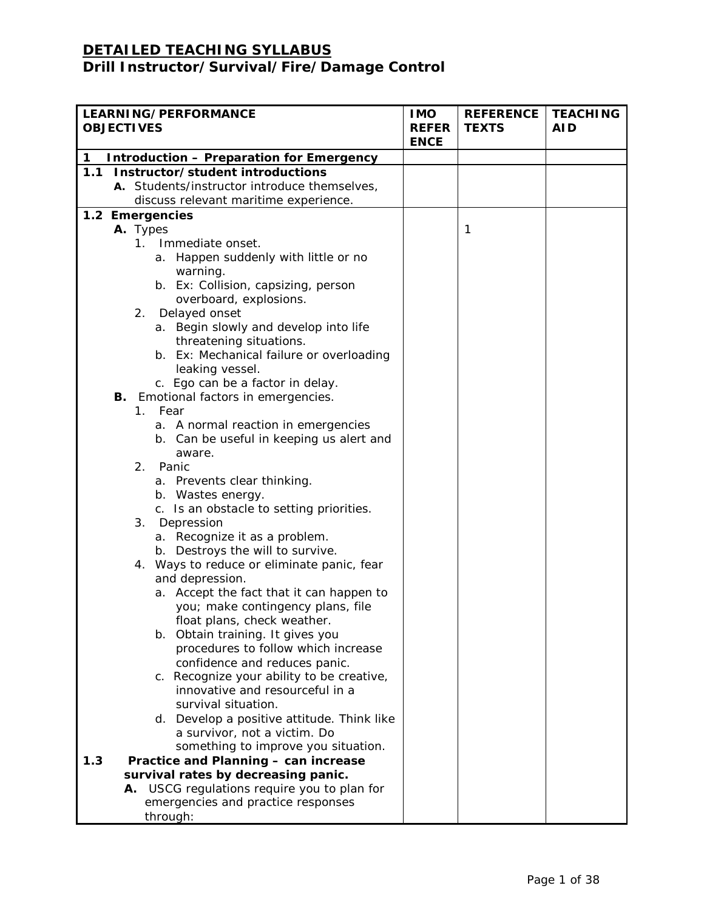|                 | <b>LEARNING/PERFORMANCE</b><br><b>OBJECTIVES</b>                            | <b>IMO</b><br><b>REFER</b><br><b>ENCE</b> | <b>REFERENCE</b><br><b>TEXTS</b> | <b>TEACHING</b><br><b>AID</b> |
|-----------------|-----------------------------------------------------------------------------|-------------------------------------------|----------------------------------|-------------------------------|
| 1               | <b>Introduction - Preparation for Emergency</b>                             |                                           |                                  |                               |
| 1.1             | Instructor/student introductions                                            |                                           |                                  |                               |
|                 | A. Students/instructor introduce themselves,                                |                                           |                                  |                               |
|                 | discuss relevant maritime experience.                                       |                                           |                                  |                               |
| 1.2 Emergencies |                                                                             |                                           |                                  |                               |
|                 | A. Types                                                                    |                                           | 1                                |                               |
|                 | 1. Immediate onset.                                                         |                                           |                                  |                               |
|                 | Happen suddenly with little or no<br>а.                                     |                                           |                                  |                               |
|                 | warning.                                                                    |                                           |                                  |                               |
|                 | b. Ex: Collision, capsizing, person                                         |                                           |                                  |                               |
|                 | overboard, explosions.                                                      |                                           |                                  |                               |
|                 | Delayed onset<br>2.<br>Begin slowly and develop into life<br>а.             |                                           |                                  |                               |
|                 | threatening situations.                                                     |                                           |                                  |                               |
|                 | b. Ex: Mechanical failure or overloading                                    |                                           |                                  |                               |
|                 | leaking vessel.                                                             |                                           |                                  |                               |
|                 | c. Ego can be a factor in delay.                                            |                                           |                                  |                               |
|                 | Emotional factors in emergencies.<br>В.                                     |                                           |                                  |                               |
|                 | 1. Fear                                                                     |                                           |                                  |                               |
|                 | a. A normal reaction in emergencies                                         |                                           |                                  |                               |
|                 | b. Can be useful in keeping us alert and                                    |                                           |                                  |                               |
|                 | aware.<br>2 <sub>1</sub><br>Panic                                           |                                           |                                  |                               |
|                 | a. Prevents clear thinking.                                                 |                                           |                                  |                               |
|                 | b. Wastes energy.                                                           |                                           |                                  |                               |
|                 | c. Is an obstacle to setting priorities.                                    |                                           |                                  |                               |
|                 | Depression<br>3.                                                            |                                           |                                  |                               |
|                 | a. Recognize it as a problem.                                               |                                           |                                  |                               |
|                 | b. Destroys the will to survive.                                            |                                           |                                  |                               |
|                 | 4. Ways to reduce or eliminate panic, fear                                  |                                           |                                  |                               |
|                 | and depression.                                                             |                                           |                                  |                               |
|                 | a. Accept the fact that it can happen to                                    |                                           |                                  |                               |
|                 | you; make contingency plans, file<br>float plans, check weather.            |                                           |                                  |                               |
|                 | b. Obtain training. It gives you                                            |                                           |                                  |                               |
|                 | procedures to follow which increase                                         |                                           |                                  |                               |
|                 | confidence and reduces panic.                                               |                                           |                                  |                               |
|                 | c. Recognize your ability to be creative,                                   |                                           |                                  |                               |
|                 | innovative and resourceful in a                                             |                                           |                                  |                               |
|                 | survival situation.                                                         |                                           |                                  |                               |
|                 | d. Develop a positive attitude. Think like                                  |                                           |                                  |                               |
|                 | a survivor, not a victim. Do                                                |                                           |                                  |                               |
| 1.3             | something to improve you situation.<br>Practice and Planning - can increase |                                           |                                  |                               |
|                 | survival rates by decreasing panic.                                         |                                           |                                  |                               |
|                 | A. USCG regulations require you to plan for                                 |                                           |                                  |                               |
|                 | emergencies and practice responses                                          |                                           |                                  |                               |
|                 | through:                                                                    |                                           |                                  |                               |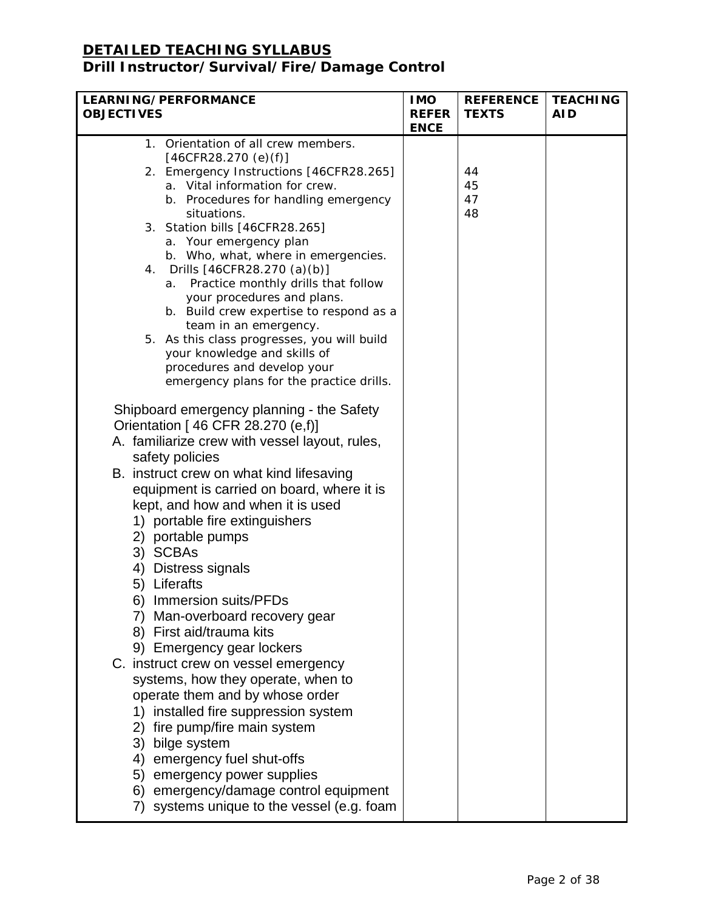#### **LEARNING/PERFORMANCE OBJECTIVES IMO REFER ENCE REFERENCE TEXTS TEACHING AID** 1. Orientation of all crew members. [46CFR28.270 (e)(f)] 2. Emergency Instructions [46CFR28.265] a. Vital information for crew. b. Procedures for handling emergency situations. 3. Station bills [46CFR28.265] a. Your emergency plan b. Who, what, where in emergencies. 4. Drills [46CFR28.270 (a)(b)] a. Practice monthly drills that follow your procedures and plans. b. Build crew expertise to respond as a team in an emergency. 5. As this class progresses, you will build your knowledge and skills of procedures and develop your emergency plans for the practice drills. Shipboard emergency planning - the Safety Orientation [ 46 CFR 28.270 (e,f)] A. familiarize crew with vessel layout, rules, safety policies B. instruct crew on what kind lifesaving equipment is carried on board, where it is kept, and how and when it is used 1) portable fire extinguishers 2) portable pumps 3) SCBAs 4) Distress signals 5) Liferafts 6) Immersion suits/PFDs 7) Man-overboard recovery gear 8) First aid/trauma kits 9) Emergency gear lockers C. instruct crew on vessel emergency systems, how they operate, when to operate them and by whose order 1) installed fire suppression system 2) fire pump/fire main system 3) bilge system 4) emergency fuel shut-offs 5) emergency power supplies 6) emergency/damage control equipment 7) systems unique to the vessel (e.g. foam 44 45 47 48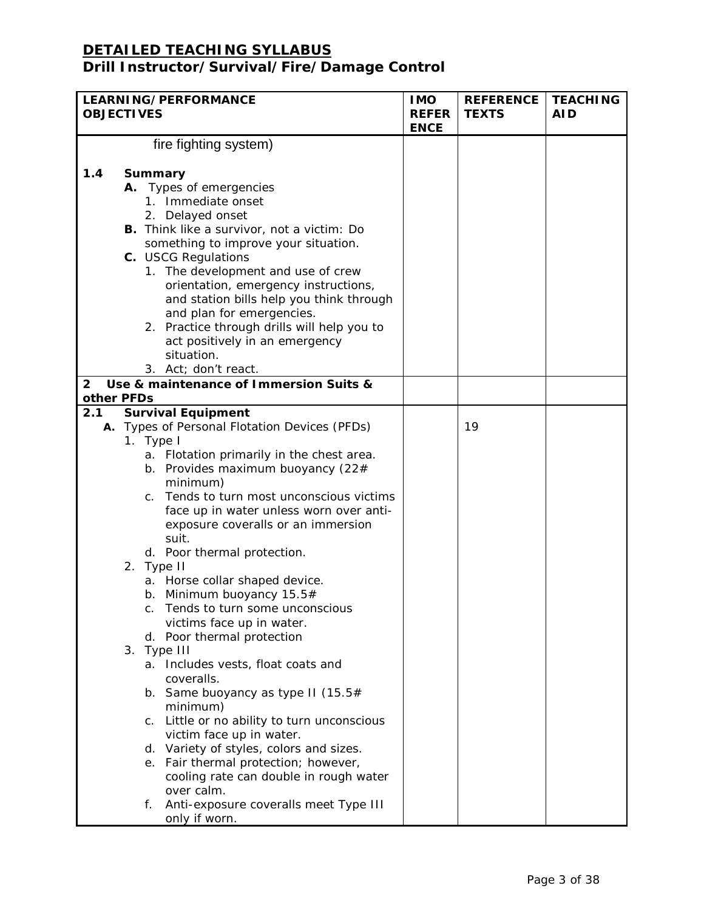| LEARNING/PERFORMANCE |  |    |                                                                       | <b>IMO</b>                  | <b>REFERENCE</b> | <b>TEACHING</b> |
|----------------------|--|----|-----------------------------------------------------------------------|-----------------------------|------------------|-----------------|
| <b>OBJECTIVES</b>    |  |    |                                                                       | <b>REFER</b><br><b>ENCE</b> | <b>TEXTS</b>     | <b>AID</b>      |
|                      |  |    | fire fighting system)                                                 |                             |                  |                 |
|                      |  |    |                                                                       |                             |                  |                 |
| 1.4                  |  |    | <b>Summary</b>                                                        |                             |                  |                 |
|                      |  |    | A. Types of emergencies                                               |                             |                  |                 |
|                      |  |    | 1. Immediate onset                                                    |                             |                  |                 |
|                      |  |    | 2. Delayed onset<br><b>B.</b> Think like a survivor, not a victim: Do |                             |                  |                 |
|                      |  |    | something to improve your situation.                                  |                             |                  |                 |
|                      |  |    | <b>C.</b> USCG Regulations                                            |                             |                  |                 |
|                      |  |    | 1. The development and use of crew                                    |                             |                  |                 |
|                      |  |    | orientation, emergency instructions,                                  |                             |                  |                 |
|                      |  |    | and station bills help you think through                              |                             |                  |                 |
|                      |  |    | and plan for emergencies.                                             |                             |                  |                 |
|                      |  |    | 2. Practice through drills will help you to                           |                             |                  |                 |
|                      |  |    | act positively in an emergency                                        |                             |                  |                 |
|                      |  |    | situation.                                                            |                             |                  |                 |
|                      |  |    | 3. Act; don't react.                                                  |                             |                  |                 |
| $\overline{2}$       |  |    | Use & maintenance of Immersion Suits &                                |                             |                  |                 |
| other PFDs           |  |    |                                                                       |                             |                  |                 |
| 2.1                  |  |    | <b>Survival Equipment</b>                                             |                             |                  |                 |
|                      |  |    | A. Types of Personal Flotation Devices (PFDs)                         |                             | 19               |                 |
|                      |  |    | 1. Type I                                                             |                             |                  |                 |
|                      |  |    | a. Flotation primarily in the chest area.                             |                             |                  |                 |
|                      |  |    | b. Provides maximum buoyancy (22#                                     |                             |                  |                 |
|                      |  |    | minimum)                                                              |                             |                  |                 |
|                      |  |    | c. Tends to turn most unconscious victims                             |                             |                  |                 |
|                      |  |    | face up in water unless worn over anti-                               |                             |                  |                 |
|                      |  |    | exposure coveralls or an immersion                                    |                             |                  |                 |
|                      |  |    | suit.<br>d. Poor thermal protection.                                  |                             |                  |                 |
|                      |  |    | 2. Type II                                                            |                             |                  |                 |
|                      |  |    | a. Horse collar shaped device.                                        |                             |                  |                 |
|                      |  |    | b. Minimum buoyancy 15.5#                                             |                             |                  |                 |
|                      |  |    | Tends to turn some unconscious                                        |                             |                  |                 |
|                      |  |    | victims face up in water.                                             |                             |                  |                 |
|                      |  |    | d. Poor thermal protection                                            |                             |                  |                 |
|                      |  |    | 3. Type III                                                           |                             |                  |                 |
|                      |  |    | a. Includes vests, float coats and                                    |                             |                  |                 |
|                      |  |    | coveralls.                                                            |                             |                  |                 |
|                      |  |    | b. Same buoyancy as type II $(15.5#$                                  |                             |                  |                 |
|                      |  |    | minimum)                                                              |                             |                  |                 |
|                      |  |    | c. Little or no ability to turn unconscious                           |                             |                  |                 |
|                      |  |    | victim face up in water.                                              |                             |                  |                 |
|                      |  |    | d. Variety of styles, colors and sizes.                               |                             |                  |                 |
|                      |  |    | e. Fair thermal protection; however,                                  |                             |                  |                 |
|                      |  |    | cooling rate can double in rough water                                |                             |                  |                 |
|                      |  |    | over calm.                                                            |                             |                  |                 |
|                      |  | f. | Anti-exposure coveralls meet Type III                                 |                             |                  |                 |
|                      |  |    | only if worn.                                                         |                             |                  |                 |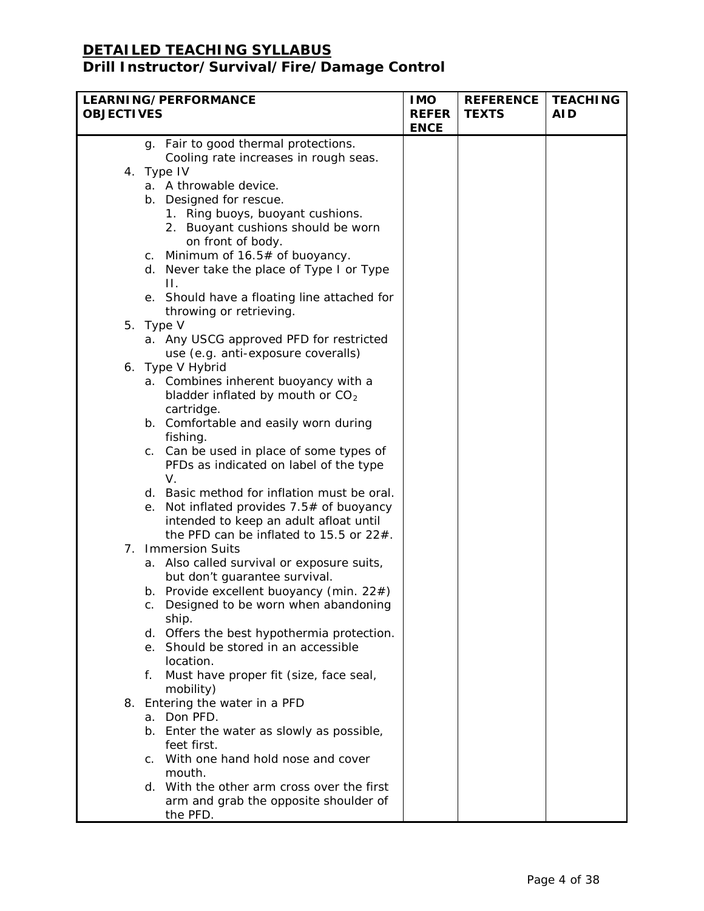| <b>LEARNING/PERFORMANCE</b> |    |                                                                                     | <b>IMO</b>                  | <b>REFERENCE</b> | <b>TEACHING</b> |
|-----------------------------|----|-------------------------------------------------------------------------------------|-----------------------------|------------------|-----------------|
| <b>OBJECTIVES</b>           |    |                                                                                     | <b>REFER</b><br><b>ENCE</b> | <b>TEXTS</b>     | <b>AID</b>      |
|                             |    | g. Fair to good thermal protections.<br>Cooling rate increases in rough seas.       |                             |                  |                 |
|                             |    | 4. Type IV                                                                          |                             |                  |                 |
|                             |    | a. A throwable device.                                                              |                             |                  |                 |
|                             |    | b. Designed for rescue.                                                             |                             |                  |                 |
|                             |    | 1. Ring buoys, buoyant cushions.                                                    |                             |                  |                 |
|                             |    | 2. Buoyant cushions should be worn                                                  |                             |                  |                 |
|                             |    | on front of body.                                                                   |                             |                  |                 |
|                             | C. | Minimum of $16.5#$ of buoyancy.                                                     |                             |                  |                 |
|                             |    | d. Never take the place of Type I or Type                                           |                             |                  |                 |
|                             |    | Н.                                                                                  |                             |                  |                 |
|                             |    | e. Should have a floating line attached for                                         |                             |                  |                 |
|                             |    | throwing or retrieving.                                                             |                             |                  |                 |
|                             |    | 5. Type V                                                                           |                             |                  |                 |
|                             |    | a. Any USCG approved PFD for restricted                                             |                             |                  |                 |
|                             |    | use (e.g. anti-exposure coveralls)                                                  |                             |                  |                 |
|                             |    | 6. Type V Hybrid                                                                    |                             |                  |                 |
|                             |    | a. Combines inherent buoyancy with a                                                |                             |                  |                 |
|                             |    | bladder inflated by mouth or CO <sub>2</sub>                                        |                             |                  |                 |
|                             |    | cartridge.                                                                          |                             |                  |                 |
|                             |    | b. Comfortable and easily worn during                                               |                             |                  |                 |
|                             |    | fishing.                                                                            |                             |                  |                 |
|                             |    | c. Can be used in place of some types of                                            |                             |                  |                 |
|                             |    | PFDs as indicated on label of the type                                              |                             |                  |                 |
|                             |    | V.                                                                                  |                             |                  |                 |
|                             |    | d. Basic method for inflation must be oral.                                         |                             |                  |                 |
|                             |    | e. Not inflated provides 7.5# of buoyancy<br>intended to keep an adult afloat until |                             |                  |                 |
|                             |    | the PFD can be inflated to 15.5 or $22#$ .                                          |                             |                  |                 |
|                             |    | 7. Immersion Suits                                                                  |                             |                  |                 |
|                             |    | a. Also called survival or exposure suits,                                          |                             |                  |                 |
|                             |    | but don't guarantee survival.                                                       |                             |                  |                 |
|                             |    | b. Provide excellent buoyancy (min. 22#)                                            |                             |                  |                 |
|                             | C. | Designed to be worn when abandoning                                                 |                             |                  |                 |
|                             |    | ship.                                                                               |                             |                  |                 |
|                             |    | d. Offers the best hypothermia protection.                                          |                             |                  |                 |
|                             | e. | Should be stored in an accessible                                                   |                             |                  |                 |
|                             |    | location.                                                                           |                             |                  |                 |
|                             | f. | Must have proper fit (size, face seal,                                              |                             |                  |                 |
|                             |    | mobility)                                                                           |                             |                  |                 |
|                             |    | 8. Entering the water in a PFD                                                      |                             |                  |                 |
|                             | а. | Don PFD.                                                                            |                             |                  |                 |
|                             |    | b. Enter the water as slowly as possible,                                           |                             |                  |                 |
|                             |    | feet first.                                                                         |                             |                  |                 |
|                             |    | c. With one hand hold nose and cover                                                |                             |                  |                 |
|                             |    | mouth.                                                                              |                             |                  |                 |
|                             |    | d. With the other arm cross over the first                                          |                             |                  |                 |
|                             |    | arm and grab the opposite shoulder of                                               |                             |                  |                 |
|                             |    | the PFD.                                                                            |                             |                  |                 |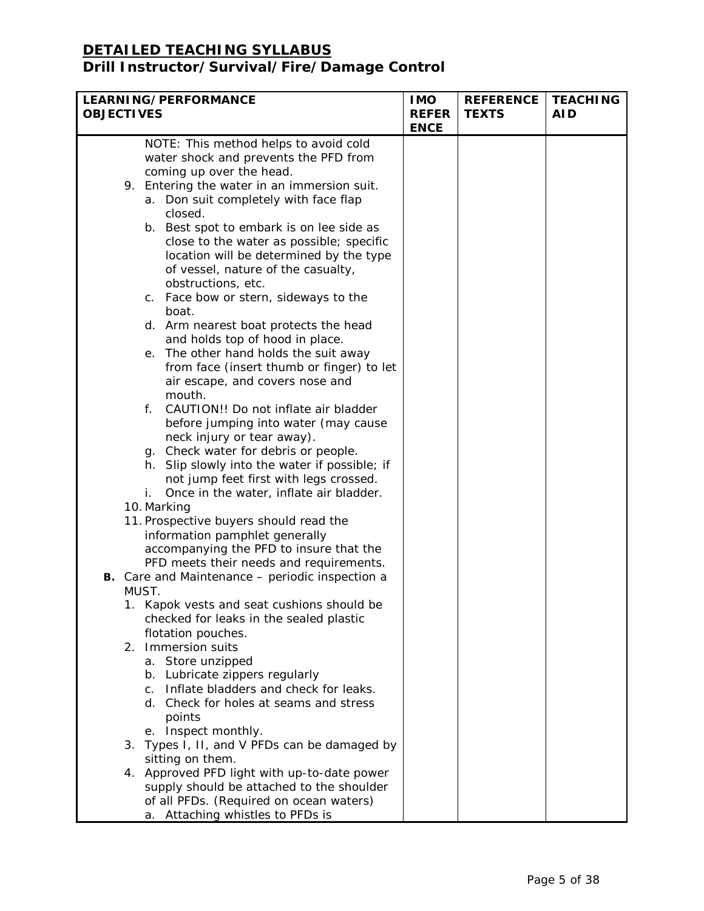| LEARNING/PERFORMANCE                                         | <b>IMO</b>                  | <b>REFERENCE</b> | <b>TEACHING</b> |
|--------------------------------------------------------------|-----------------------------|------------------|-----------------|
| <b>OBJECTIVES</b>                                            | <b>REFER</b><br><b>ENCE</b> | <b>TEXTS</b>     | <b>AID</b>      |
| NOTE: This method helps to avoid cold                        |                             |                  |                 |
| water shock and prevents the PFD from                        |                             |                  |                 |
| coming up over the head.                                     |                             |                  |                 |
| 9. Entering the water in an immersion suit.                  |                             |                  |                 |
| a. Don suit completely with face flap                        |                             |                  |                 |
| closed.                                                      |                             |                  |                 |
| b. Best spot to embark is on lee side as                     |                             |                  |                 |
| close to the water as possible; specific                     |                             |                  |                 |
| location will be determined by the type                      |                             |                  |                 |
| of vessel, nature of the casualty,                           |                             |                  |                 |
| obstructions, etc.                                           |                             |                  |                 |
| c. Face bow or stern, sideways to the<br>boat.               |                             |                  |                 |
| d. Arm nearest boat protects the head                        |                             |                  |                 |
| and holds top of hood in place.                              |                             |                  |                 |
| e. The other hand holds the suit away                        |                             |                  |                 |
| from face (insert thumb or finger) to let                    |                             |                  |                 |
| air escape, and covers nose and                              |                             |                  |                 |
| mouth.                                                       |                             |                  |                 |
| $f_{\perp}$<br>CAUTION!! Do not inflate air bladder          |                             |                  |                 |
| before jumping into water (may cause                         |                             |                  |                 |
| neck injury or tear away).                                   |                             |                  |                 |
| g. Check water for debris or people.                         |                             |                  |                 |
| h. Slip slowly into the water if possible; if                |                             |                  |                 |
| not jump feet first with legs crossed.                       |                             |                  |                 |
| Once in the water, inflate air bladder.<br>i.<br>10. Marking |                             |                  |                 |
| 11. Prospective buyers should read the                       |                             |                  |                 |
| information pamphlet generally                               |                             |                  |                 |
| accompanying the PFD to insure that the                      |                             |                  |                 |
| PFD meets their needs and requirements.                      |                             |                  |                 |
| B. Care and Maintenance - periodic inspection a              |                             |                  |                 |
| MUST.                                                        |                             |                  |                 |
| 1. Kapok vests and seat cushions should be                   |                             |                  |                 |
| checked for leaks in the sealed plastic                      |                             |                  |                 |
| flotation pouches.                                           |                             |                  |                 |
| 2. Immersion suits                                           |                             |                  |                 |
| a. Store unzipped                                            |                             |                  |                 |
| b. Lubricate zippers regularly                               |                             |                  |                 |
| Inflate bladders and check for leaks.<br>$\mathsf{C}$ .      |                             |                  |                 |
| d. Check for holes at seams and stress                       |                             |                  |                 |
| points                                                       |                             |                  |                 |
| e. Inspect monthly.                                          |                             |                  |                 |
| 3. Types I, II, and V PFDs can be damaged by                 |                             |                  |                 |
| sitting on them.                                             |                             |                  |                 |
| 4. Approved PFD light with up-to-date power                  |                             |                  |                 |
| supply should be attached to the shoulder                    |                             |                  |                 |
| of all PFDs. (Required on ocean waters)                      |                             |                  |                 |
| a. Attaching whistles to PFDs is                             |                             |                  |                 |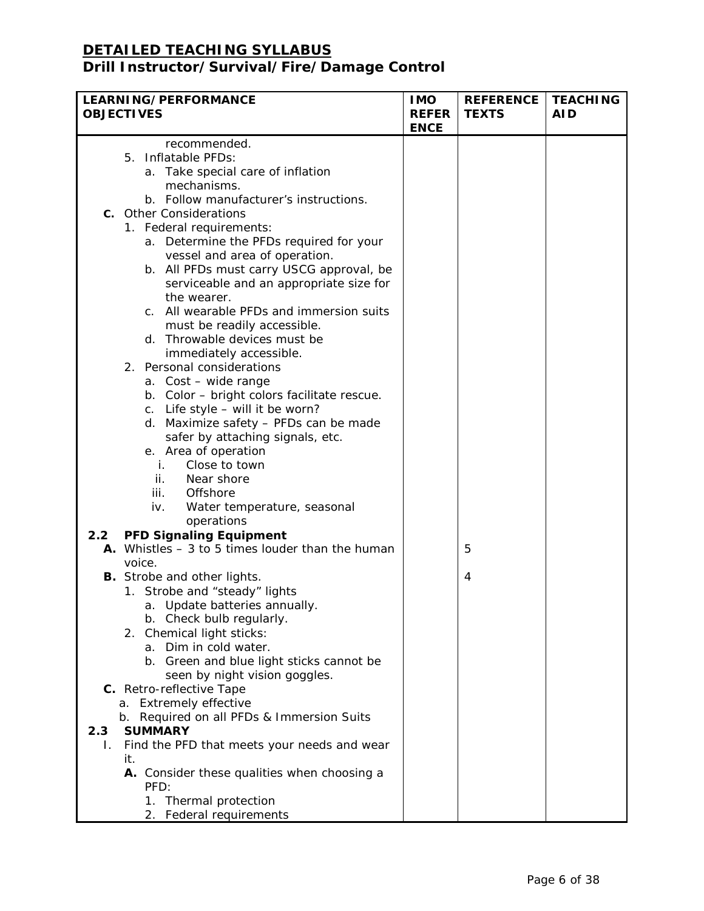| <b>LEARNING/PERFORMANCE</b>                       |                             | <b>REFERENCE</b> | <b>TEACHING</b> |
|---------------------------------------------------|-----------------------------|------------------|-----------------|
| <b>OBJECTIVES</b>                                 | <b>REFER</b><br><b>ENCE</b> | <b>TEXTS</b>     | <b>AID</b>      |
| recommended.                                      |                             |                  |                 |
| 5. Inflatable PFDs:                               |                             |                  |                 |
| a. Take special care of inflation                 |                             |                  |                 |
| mechanisms.                                       |                             |                  |                 |
| b. Follow manufacturer's instructions.            |                             |                  |                 |
| <b>C.</b> Other Considerations                    |                             |                  |                 |
| 1. Federal requirements:                          |                             |                  |                 |
| a. Determine the PFDs required for your           |                             |                  |                 |
| vessel and area of operation.                     |                             |                  |                 |
| b. All PFDs must carry USCG approval, be          |                             |                  |                 |
| serviceable and an appropriate size for           |                             |                  |                 |
| the wearer.                                       |                             |                  |                 |
| c. All wearable PFDs and immersion suits          |                             |                  |                 |
| must be readily accessible.                       |                             |                  |                 |
| d. Throwable devices must be                      |                             |                  |                 |
| immediately accessible.                           |                             |                  |                 |
| 2. Personal considerations                        |                             |                  |                 |
| a. Cost - wide range                              |                             |                  |                 |
| b. Color - bright colors facilitate rescue.       |                             |                  |                 |
| c. Life style - will it be worn?                  |                             |                  |                 |
| d. Maximize safety - PFDs can be made             |                             |                  |                 |
| safer by attaching signals, etc.                  |                             |                  |                 |
| e. Area of operation                              |                             |                  |                 |
| i.<br>Close to town                               |                             |                  |                 |
| ii.<br>Near shore                                 |                             |                  |                 |
| iii.<br>Offshore                                  |                             |                  |                 |
| iv.<br>Water temperature, seasonal                |                             |                  |                 |
| operations                                        |                             |                  |                 |
| <b>PFD Signaling Equipment</b><br>$2.2^{\circ}$   |                             |                  |                 |
| A. Whistles $-3$ to 5 times louder than the human |                             | 5                |                 |
| voice.                                            |                             |                  |                 |
| <b>B.</b> Strobe and other lights.                |                             | 4                |                 |
| 1. Strobe and "steady" lights                     |                             |                  |                 |
| a. Update batteries annually.                     |                             |                  |                 |
| b. Check bulb regularly.                          |                             |                  |                 |
| 2. Chemical light sticks:                         |                             |                  |                 |
| Dim in cold water.<br>а.                          |                             |                  |                 |
| b. Green and blue light sticks cannot be          |                             |                  |                 |
| seen by night vision goggles.                     |                             |                  |                 |
| C. Retro-reflective Tape                          |                             |                  |                 |
| a. Extremely effective                            |                             |                  |                 |
| b. Required on all PFDs & Immersion Suits         |                             |                  |                 |
| <b>SUMMARY</b><br>2.3                             |                             |                  |                 |
| Find the PFD that meets your needs and wear<br>Ι. |                             |                  |                 |
| it.                                               |                             |                  |                 |
| A. Consider these qualities when choosing a       |                             |                  |                 |
| PFD:                                              |                             |                  |                 |
| 1. Thermal protection                             |                             |                  |                 |
| 2. Federal requirements                           |                             |                  |                 |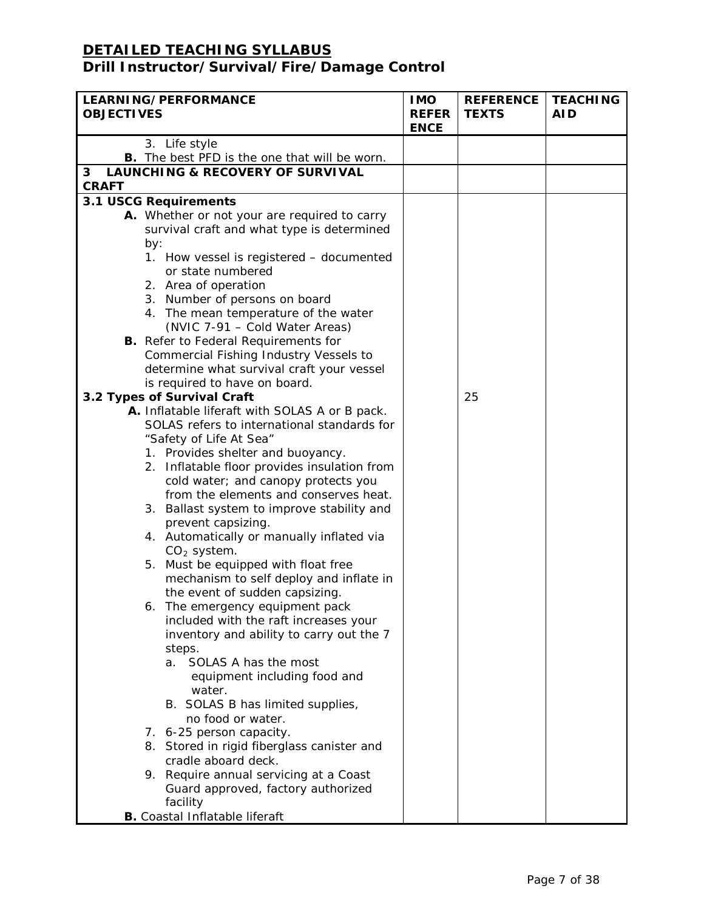| <b>OBJECTIVES</b> | LEARNING/PERFORMANCE                                                                                | <b>IMO</b><br><b>REFER</b> | <b>REFERENCE</b><br><b>TEXTS</b> | <b>TEACHING</b><br><b>AID</b> |
|-------------------|-----------------------------------------------------------------------------------------------------|----------------------------|----------------------------------|-------------------------------|
|                   |                                                                                                     | <b>ENCE</b>                |                                  |                               |
|                   | 3. Life style                                                                                       |                            |                                  |                               |
| $\mathbf{3}$      | <b>B.</b> The best PFD is the one that will be worn.<br><b>LAUNCHING &amp; RECOVERY OF SURVIVAL</b> |                            |                                  |                               |
| <b>CRAFT</b>      |                                                                                                     |                            |                                  |                               |
|                   | 3.1 USCG Requirements                                                                               |                            |                                  |                               |
|                   | A. Whether or not your are required to carry                                                        |                            |                                  |                               |
|                   | survival craft and what type is determined                                                          |                            |                                  |                               |
|                   | by:                                                                                                 |                            |                                  |                               |
|                   | 1. How vessel is registered - documented                                                            |                            |                                  |                               |
|                   | or state numbered                                                                                   |                            |                                  |                               |
|                   | 2. Area of operation                                                                                |                            |                                  |                               |
|                   | 3. Number of persons on board                                                                       |                            |                                  |                               |
|                   | 4. The mean temperature of the water                                                                |                            |                                  |                               |
|                   | (NVIC 7-91 - Cold Water Areas)                                                                      |                            |                                  |                               |
|                   | <b>B.</b> Refer to Federal Requirements for                                                         |                            |                                  |                               |
|                   | Commercial Fishing Industry Vessels to<br>determine what survival craft your vessel                 |                            |                                  |                               |
|                   | is required to have on board.                                                                       |                            |                                  |                               |
|                   | 3.2 Types of Survival Craft                                                                         |                            | 25                               |                               |
|                   | A. Inflatable liferaft with SOLAS A or B pack.                                                      |                            |                                  |                               |
|                   | SOLAS refers to international standards for                                                         |                            |                                  |                               |
|                   | "Safety of Life At Sea"                                                                             |                            |                                  |                               |
|                   | 1. Provides shelter and buoyancy.                                                                   |                            |                                  |                               |
|                   | 2. Inflatable floor provides insulation from                                                        |                            |                                  |                               |
|                   | cold water; and canopy protects you                                                                 |                            |                                  |                               |
|                   | from the elements and conserves heat.                                                               |                            |                                  |                               |
|                   | 3. Ballast system to improve stability and                                                          |                            |                                  |                               |
|                   | prevent capsizing.<br>4. Automatically or manually inflated via                                     |                            |                                  |                               |
|                   | $CO2$ system.                                                                                       |                            |                                  |                               |
|                   | 5. Must be equipped with float free                                                                 |                            |                                  |                               |
|                   | mechanism to self deploy and inflate in                                                             |                            |                                  |                               |
|                   | the event of sudden capsizing.                                                                      |                            |                                  |                               |
|                   | 6. The emergency equipment pack                                                                     |                            |                                  |                               |
|                   | included with the raft increases your                                                               |                            |                                  |                               |
|                   | inventory and ability to carry out the 7                                                            |                            |                                  |                               |
|                   | steps.                                                                                              |                            |                                  |                               |
|                   | SOLAS A has the most<br>а.                                                                          |                            |                                  |                               |
|                   | equipment including food and                                                                        |                            |                                  |                               |
|                   | water.                                                                                              |                            |                                  |                               |
|                   | B. SOLAS B has limited supplies,<br>no food or water.                                               |                            |                                  |                               |
|                   | 7. 6-25 person capacity.                                                                            |                            |                                  |                               |
|                   | 8. Stored in rigid fiberglass canister and                                                          |                            |                                  |                               |
|                   | cradle aboard deck.                                                                                 |                            |                                  |                               |
|                   | 9. Require annual servicing at a Coast                                                              |                            |                                  |                               |
|                   | Guard approved, factory authorized                                                                  |                            |                                  |                               |
|                   | facility                                                                                            |                            |                                  |                               |
|                   | <b>B.</b> Coastal Inflatable liferaft                                                               |                            |                                  |                               |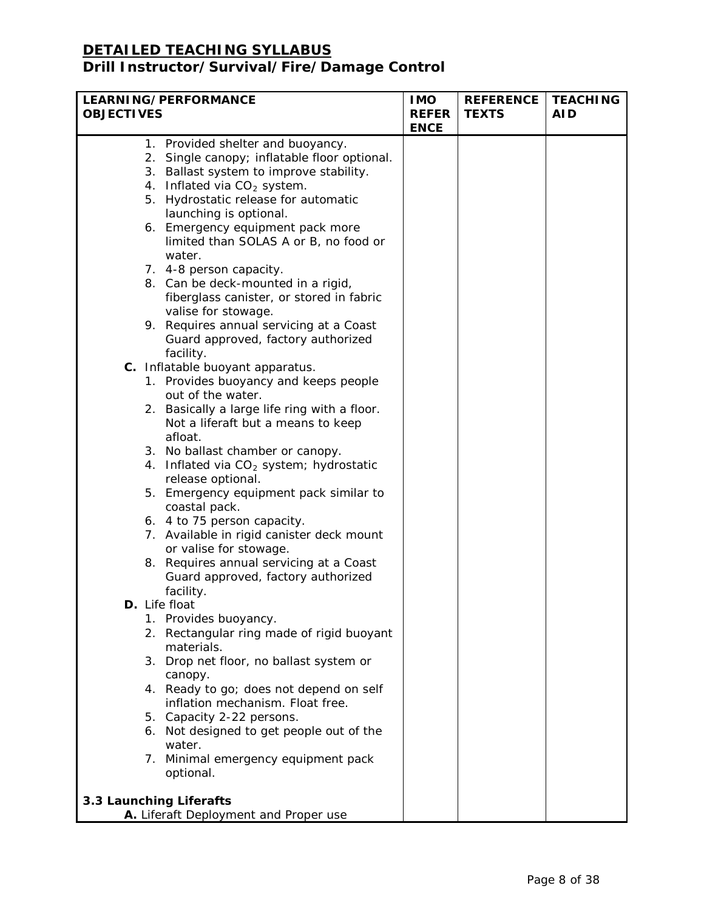| <b>LEARNING/PERFORMANCE</b> |    | <b>IMO</b>                                                  | <b>REFERENCE</b>            | <b>TEACHING</b> |            |
|-----------------------------|----|-------------------------------------------------------------|-----------------------------|-----------------|------------|
| <b>OBJECTIVES</b>           |    |                                                             | <b>REFER</b><br><b>ENCE</b> | <b>TEXTS</b>    | <b>AID</b> |
|                             |    | 1. Provided shelter and buoyancy.                           |                             |                 |            |
|                             |    | 2. Single canopy; inflatable floor optional.                |                             |                 |            |
|                             |    | 3. Ballast system to improve stability.                     |                             |                 |            |
|                             |    | 4. Inflated via CO <sub>2</sub> system.                     |                             |                 |            |
|                             |    | 5. Hydrostatic release for automatic                        |                             |                 |            |
|                             |    | launching is optional.                                      |                             |                 |            |
|                             |    | 6. Emergency equipment pack more                            |                             |                 |            |
|                             |    | limited than SOLAS A or B, no food or                       |                             |                 |            |
|                             |    | water.<br>7. 4-8 person capacity.                           |                             |                 |            |
|                             |    | 8. Can be deck-mounted in a rigid,                          |                             |                 |            |
|                             |    | fiberglass canister, or stored in fabric                    |                             |                 |            |
|                             |    | valise for stowage.                                         |                             |                 |            |
|                             |    | 9. Requires annual servicing at a Coast                     |                             |                 |            |
|                             |    | Guard approved, factory authorized                          |                             |                 |            |
|                             |    | facility.                                                   |                             |                 |            |
|                             |    | C. Inflatable buoyant apparatus.                            |                             |                 |            |
|                             |    | 1. Provides buoyancy and keeps people                       |                             |                 |            |
|                             |    | out of the water.                                           |                             |                 |            |
|                             |    | 2. Basically a large life ring with a floor.                |                             |                 |            |
|                             |    | Not a liferaft but a means to keep                          |                             |                 |            |
|                             |    | afloat.                                                     |                             |                 |            |
|                             |    | 3. No ballast chamber or canopy.                            |                             |                 |            |
|                             |    | 4. Inflated via CO <sub>2</sub> system; hydrostatic         |                             |                 |            |
|                             |    | release optional.<br>5. Emergency equipment pack similar to |                             |                 |            |
|                             |    | coastal pack.                                               |                             |                 |            |
|                             |    | 6. 4 to 75 person capacity.                                 |                             |                 |            |
|                             |    | 7. Available in rigid canister deck mount                   |                             |                 |            |
|                             |    | or valise for stowage.                                      |                             |                 |            |
|                             |    | 8. Requires annual servicing at a Coast                     |                             |                 |            |
|                             |    | Guard approved, factory authorized                          |                             |                 |            |
|                             |    | facility.                                                   |                             |                 |            |
|                             |    | <b>D.</b> Life float                                        |                             |                 |            |
|                             |    | 1. Provides buoyancy.                                       |                             |                 |            |
|                             | 2. | Rectangular ring made of rigid buoyant<br>materials.        |                             |                 |            |
|                             |    | 3. Drop net floor, no ballast system or                     |                             |                 |            |
|                             |    | canopy.                                                     |                             |                 |            |
|                             |    | 4. Ready to go; does not depend on self                     |                             |                 |            |
|                             |    | inflation mechanism. Float free.                            |                             |                 |            |
|                             |    | 5. Capacity 2-22 persons.                                   |                             |                 |            |
|                             |    | 6. Not designed to get people out of the                    |                             |                 |            |
|                             |    | water.                                                      |                             |                 |            |
|                             |    | 7. Minimal emergency equipment pack<br>optional.            |                             |                 |            |
|                             |    |                                                             |                             |                 |            |
|                             |    | 3.3 Launching Liferafts                                     |                             |                 |            |
|                             |    | A. Liferaft Deployment and Proper use                       |                             |                 |            |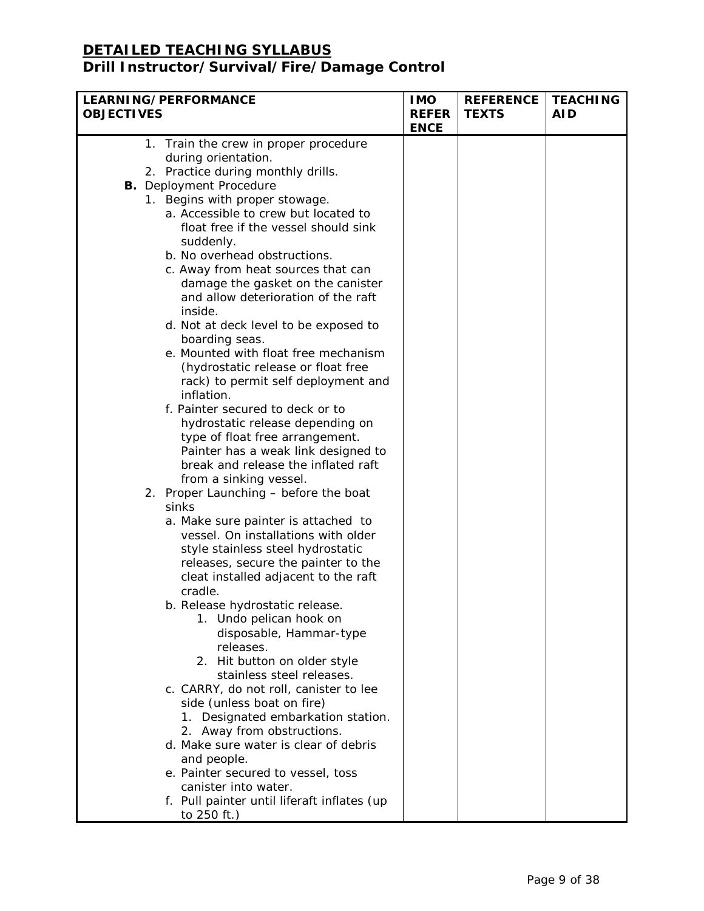| <b>LEARNING/PERFORMANCE</b>                                                               |                             | <b>REFERENCE</b> | <b>TEACHING</b> |
|-------------------------------------------------------------------------------------------|-----------------------------|------------------|-----------------|
| <b>OBJECTIVES</b>                                                                         | <b>REFER</b><br><b>ENCE</b> | <b>TEXTS</b>     | <b>AID</b>      |
| 1. Train the crew in proper procedure                                                     |                             |                  |                 |
| during orientation.                                                                       |                             |                  |                 |
| 2. Practice during monthly drills.                                                        |                             |                  |                 |
| <b>B.</b> Deployment Procedure                                                            |                             |                  |                 |
| 1. Begins with proper stowage.                                                            |                             |                  |                 |
| a. Accessible to crew but located to<br>float free if the vessel should sink<br>suddenly. |                             |                  |                 |
| b. No overhead obstructions.                                                              |                             |                  |                 |
| c. Away from heat sources that can                                                        |                             |                  |                 |
| damage the gasket on the canister                                                         |                             |                  |                 |
| and allow deterioration of the raft<br>inside.                                            |                             |                  |                 |
| d. Not at deck level to be exposed to                                                     |                             |                  |                 |
| boarding seas.                                                                            |                             |                  |                 |
| e. Mounted with float free mechanism                                                      |                             |                  |                 |
| (hydrostatic release or float free                                                        |                             |                  |                 |
| rack) to permit self deployment and<br>inflation.                                         |                             |                  |                 |
| f. Painter secured to deck or to                                                          |                             |                  |                 |
| hydrostatic release depending on                                                          |                             |                  |                 |
| type of float free arrangement.                                                           |                             |                  |                 |
| Painter has a weak link designed to                                                       |                             |                  |                 |
| break and release the inflated raft                                                       |                             |                  |                 |
| from a sinking vessel.                                                                    |                             |                  |                 |
| 2. Proper Launching - before the boat                                                     |                             |                  |                 |
| sinks                                                                                     |                             |                  |                 |
| a. Make sure painter is attached to                                                       |                             |                  |                 |
| vessel. On installations with older                                                       |                             |                  |                 |
| style stainless steel hydrostatic                                                         |                             |                  |                 |
| releases, secure the painter to the                                                       |                             |                  |                 |
| cleat installed adjacent to the raft                                                      |                             |                  |                 |
| cradle.                                                                                   |                             |                  |                 |
| b. Release hydrostatic release                                                            |                             |                  |                 |
| 1. Undo pelican hook on                                                                   |                             |                  |                 |
| disposable, Hammar-type<br>releases.                                                      |                             |                  |                 |
| 2. Hit button on older style                                                              |                             |                  |                 |
| stainless steel releases.                                                                 |                             |                  |                 |
| c. CARRY, do not roll, canister to lee                                                    |                             |                  |                 |
| side (unless boat on fire)                                                                |                             |                  |                 |
| 1. Designated embarkation station.                                                        |                             |                  |                 |
| 2. Away from obstructions.                                                                |                             |                  |                 |
| d. Make sure water is clear of debris                                                     |                             |                  |                 |
| and people.                                                                               |                             |                  |                 |
| e. Painter secured to vessel, toss                                                        |                             |                  |                 |
| canister into water.                                                                      |                             |                  |                 |
| f. Pull painter until liferaft inflates (up                                               |                             |                  |                 |
| to 250 ft.)                                                                               |                             |                  |                 |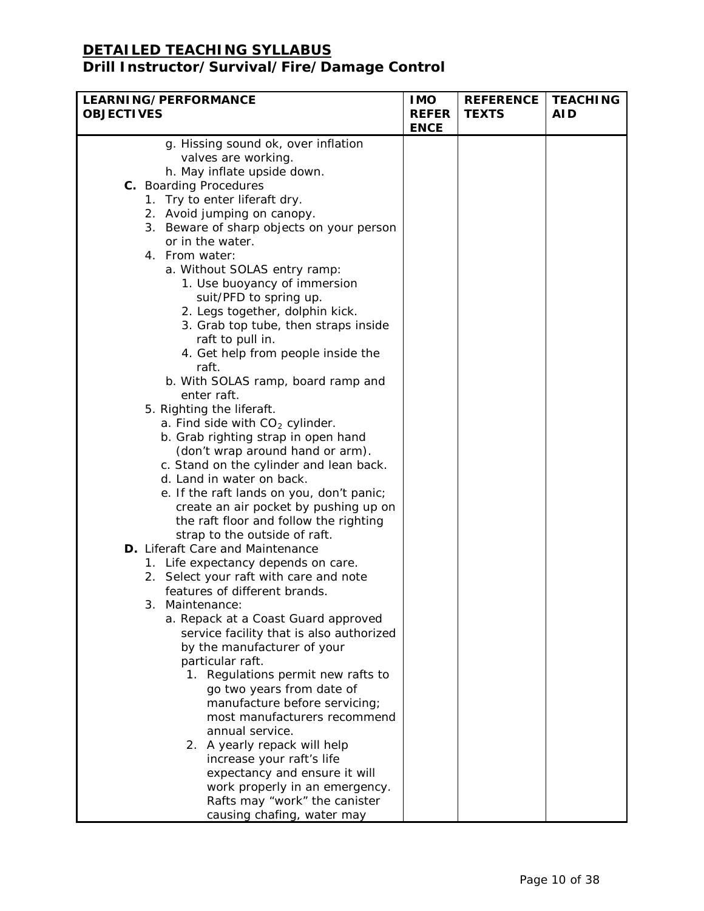| LEARNING/PERFORMANCE                                                                                                                                                                                                                                                                                                                                                                                                                                                                                                                                                                   |                             | <b>REFERENCE</b> | <b>TEACHING</b> |
|----------------------------------------------------------------------------------------------------------------------------------------------------------------------------------------------------------------------------------------------------------------------------------------------------------------------------------------------------------------------------------------------------------------------------------------------------------------------------------------------------------------------------------------------------------------------------------------|-----------------------------|------------------|-----------------|
| <b>OBJECTIVES</b>                                                                                                                                                                                                                                                                                                                                                                                                                                                                                                                                                                      | <b>REFER</b><br><b>ENCE</b> | <b>TEXTS</b>     | <b>AID</b>      |
| g. Hissing sound ok, over inflation<br>valves are working.<br>h. May inflate upside down.<br>C. Boarding Procedures<br>1. Try to enter liferaft dry.<br>2. Avoid jumping on canopy.<br>3. Beware of sharp objects on your person<br>or in the water.<br>4. From water:<br>a. Without SOLAS entry ramp:<br>1. Use buoyancy of immersion<br>suit/PFD to spring up.<br>2. Legs together, dolphin kick.<br>3. Grab top tube, then straps inside<br>raft to pull in.<br>4. Get help from people inside the                                                                                  |                             |                  |                 |
| raft.<br>b. With SOLAS ramp, board ramp and<br>enter raft.<br>5. Righting the liferaft.<br>a. Find side with $CO2$ cylinder.<br>b. Grab righting strap in open hand<br>(don't wrap around hand or arm).<br>c. Stand on the cylinder and lean back.<br>d. Land in water on back.<br>e. If the raft lands on you, don't panic;<br>create an air pocket by pushing up on<br>the raft floor and follow the righting<br>strap to the outside of raft.<br>D. Liferaft Care and Maintenance<br>1. Life expectancy depends on care.                                                            |                             |                  |                 |
| 2. Select your raft with care and note<br>features of different brands.<br>3. Maintenance:<br>a. Repack at a Coast Guard approved<br>service facility that is also authorized<br>by the manufacturer of your<br>particular raft.<br>1. Regulations permit new rafts to<br>go two years from date of<br>manufacture before servicing;<br>most manufacturers recommend<br>annual service.<br>2. A yearly repack will help<br>increase your raft's life<br>expectancy and ensure it will<br>work properly in an emergency.<br>Rafts may "work" the canister<br>causing chafing, water may |                             |                  |                 |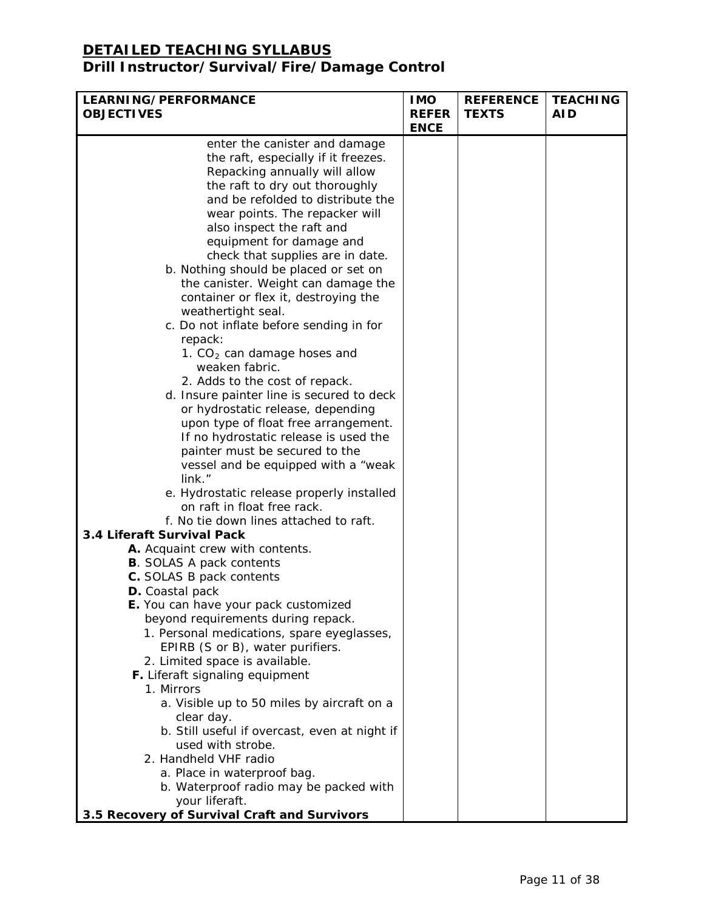| LEARNING/PERFORMANCE                                                 | <b>IMO</b>                  | <b>REFERENCE</b> | <b>TEACHING</b> |
|----------------------------------------------------------------------|-----------------------------|------------------|-----------------|
| <b>OBJECTIVES</b>                                                    | <b>REFER</b><br><b>ENCE</b> | <b>TEXTS</b>     | <b>AID</b>      |
|                                                                      |                             |                  |                 |
| enter the canister and damage<br>the raft, especially if it freezes. |                             |                  |                 |
| Repacking annually will allow                                        |                             |                  |                 |
| the raft to dry out thoroughly                                       |                             |                  |                 |
| and be refolded to distribute the                                    |                             |                  |                 |
| wear points. The repacker will                                       |                             |                  |                 |
| also inspect the raft and                                            |                             |                  |                 |
| equipment for damage and                                             |                             |                  |                 |
| check that supplies are in date.                                     |                             |                  |                 |
| b. Nothing should be placed or set on                                |                             |                  |                 |
| the canister. Weight can damage the                                  |                             |                  |                 |
| container or flex it, destroying the                                 |                             |                  |                 |
| weathertight seal.                                                   |                             |                  |                 |
| c. Do not inflate before sending in for                              |                             |                  |                 |
| repack:                                                              |                             |                  |                 |
| 1. CO <sub>2</sub> can damage hoses and                              |                             |                  |                 |
| weaken fabric.                                                       |                             |                  |                 |
| 2. Adds to the cost of repack.                                       |                             |                  |                 |
| d. Insure painter line is secured to deck                            |                             |                  |                 |
| or hydrostatic release, depending                                    |                             |                  |                 |
| upon type of float free arrangement.                                 |                             |                  |                 |
| If no hydrostatic release is used the                                |                             |                  |                 |
| painter must be secured to the                                       |                             |                  |                 |
| vessel and be equipped with a "weak                                  |                             |                  |                 |
| link."                                                               |                             |                  |                 |
| e. Hydrostatic release properly installed                            |                             |                  |                 |
| on raft in float free rack.                                          |                             |                  |                 |
| f. No tie down lines attached to raft.                               |                             |                  |                 |
| 3.4 Liferaft Survival Pack                                           |                             |                  |                 |
| A. Acquaint crew with contents.                                      |                             |                  |                 |
| <b>B.</b> SOLAS A pack contents<br>C. SOLAS B pack contents          |                             |                  |                 |
| D. Coastal pack                                                      |                             |                  |                 |
| E. You can have your pack customized                                 |                             |                  |                 |
| beyond requirements during repack.                                   |                             |                  |                 |
| 1. Personal medications, spare eyeglasses,                           |                             |                  |                 |
| EPIRB (S or B), water purifiers.                                     |                             |                  |                 |
| 2. Limited space is available.                                       |                             |                  |                 |
| F. Liferaft signaling equipment                                      |                             |                  |                 |
| 1. Mirrors                                                           |                             |                  |                 |
| a. Visible up to 50 miles by aircraft on a                           |                             |                  |                 |
| clear day.                                                           |                             |                  |                 |
| b. Still useful if overcast, even at night if                        |                             |                  |                 |
| used with strobe.                                                    |                             |                  |                 |
| 2. Handheld VHF radio                                                |                             |                  |                 |
| a. Place in waterproof bag.                                          |                             |                  |                 |
| b. Waterproof radio may be packed with                               |                             |                  |                 |
| your liferaft.                                                       |                             |                  |                 |
| 3.5 Recovery of Survival Craft and Survivors                         |                             |                  |                 |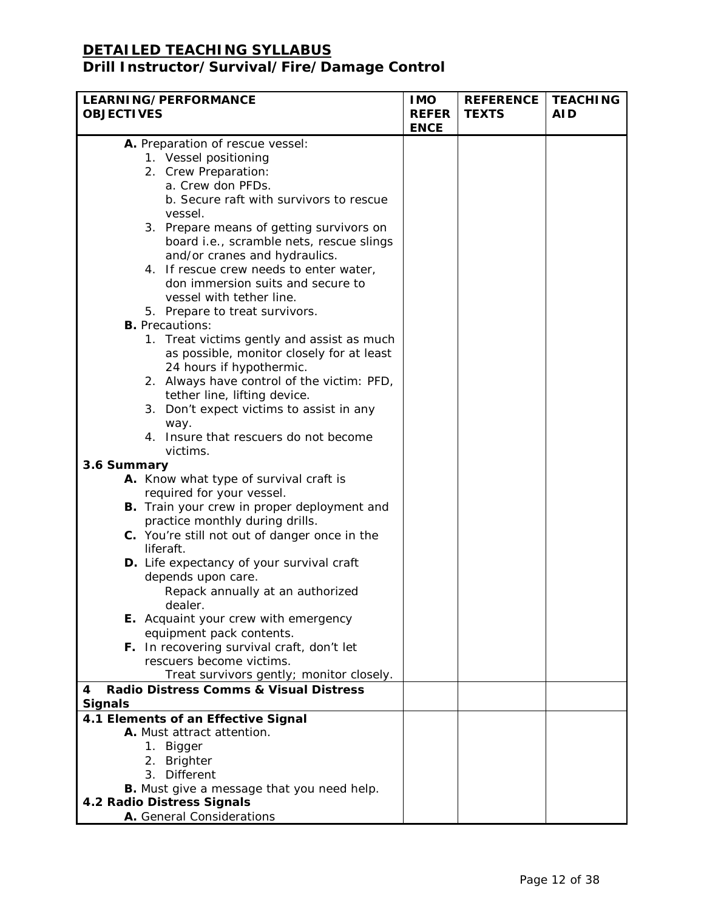| LEARNING/PERFORMANCE<br><b>OBJECTIVES</b>              | <b>IMO</b><br><b>REFER</b> | <b>REFERENCE</b><br><b>TEXTS</b> | <b>TEACHING</b><br><b>AID</b> |
|--------------------------------------------------------|----------------------------|----------------------------------|-------------------------------|
|                                                        | <b>ENCE</b>                |                                  |                               |
| A. Preparation of rescue vessel:                       |                            |                                  |                               |
| 1. Vessel positioning                                  |                            |                                  |                               |
| 2. Crew Preparation:                                   |                            |                                  |                               |
| a. Crew don PFDs.                                      |                            |                                  |                               |
| b. Secure raft with survivors to rescue                |                            |                                  |                               |
| vessel.                                                |                            |                                  |                               |
| 3. Prepare means of getting survivors on               |                            |                                  |                               |
| board i.e., scramble nets, rescue slings               |                            |                                  |                               |
| and/or cranes and hydraulics.                          |                            |                                  |                               |
| 4. If rescue crew needs to enter water,                |                            |                                  |                               |
| don immersion suits and secure to                      |                            |                                  |                               |
| vessel with tether line.                               |                            |                                  |                               |
| 5. Prepare to treat survivors.                         |                            |                                  |                               |
| <b>B.</b> Precautions:                                 |                            |                                  |                               |
| 1. Treat victims gently and assist as much             |                            |                                  |                               |
| as possible, monitor closely for at least              |                            |                                  |                               |
| 24 hours if hypothermic.                               |                            |                                  |                               |
| 2. Always have control of the victim: PFD,             |                            |                                  |                               |
| tether line, lifting device.                           |                            |                                  |                               |
| 3. Don't expect victims to assist in any               |                            |                                  |                               |
| way.                                                   |                            |                                  |                               |
| 4. Insure that rescuers do not become                  |                            |                                  |                               |
| victims.                                               |                            |                                  |                               |
| 3.6 Summary                                            |                            |                                  |                               |
| A. Know what type of survival craft is                 |                            |                                  |                               |
| required for your vessel.                              |                            |                                  |                               |
| <b>B.</b> Train your crew in proper deployment and     |                            |                                  |                               |
| practice monthly during drills.                        |                            |                                  |                               |
| C. You're still not out of danger once in the          |                            |                                  |                               |
| liferaft.                                              |                            |                                  |                               |
| D. Life expectancy of your survival craft              |                            |                                  |                               |
| depends upon care.                                     |                            |                                  |                               |
| Repack annually at an authorized<br>dealer.            |                            |                                  |                               |
| E. Acquaint your crew with emergency                   |                            |                                  |                               |
| equipment pack contents.                               |                            |                                  |                               |
| F. In recovering survival craft, don't let             |                            |                                  |                               |
| rescuers become victims.                               |                            |                                  |                               |
| Treat survivors gently; monitor closely.               |                            |                                  |                               |
| <b>Radio Distress Comms &amp; Visual Distress</b><br>4 |                            |                                  |                               |
| <b>Signals</b>                                         |                            |                                  |                               |
| 4.1 Elements of an Effective Signal                    |                            |                                  |                               |
| A. Must attract attention.                             |                            |                                  |                               |
| 1. Bigger                                              |                            |                                  |                               |
| 2. Brighter                                            |                            |                                  |                               |
| 3. Different                                           |                            |                                  |                               |
| B. Must give a message that you need help.             |                            |                                  |                               |
| 4.2 Radio Distress Signals                             |                            |                                  |                               |
| A. General Considerations                              |                            |                                  |                               |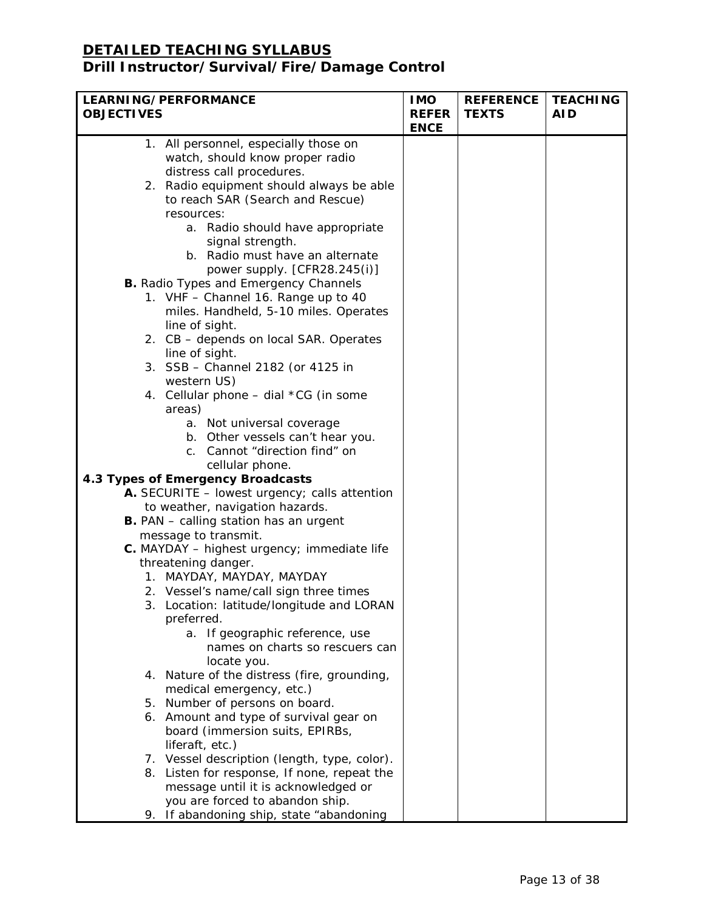| <b>LEARNING/PERFORMANCE</b>                                        | <b>IMO</b>                  | <b>REFERENCE</b> | <b>TEACHING</b> |
|--------------------------------------------------------------------|-----------------------------|------------------|-----------------|
| <b>OBJECTIVES</b>                                                  | <b>REFER</b><br><b>ENCE</b> | <b>TEXTS</b>     | <b>AID</b>      |
| 1. All personnel, especially those on                              |                             |                  |                 |
| watch, should know proper radio                                    |                             |                  |                 |
| distress call procedures.                                          |                             |                  |                 |
| 2. Radio equipment should always be able                           |                             |                  |                 |
| to reach SAR (Search and Rescue)                                   |                             |                  |                 |
| resources:<br>a. Radio should have appropriate                     |                             |                  |                 |
| signal strength.                                                   |                             |                  |                 |
| b. Radio must have an alternate                                    |                             |                  |                 |
| power supply. [CFR28.245(i)]                                       |                             |                  |                 |
| B. Radio Types and Emergency Channels                              |                             |                  |                 |
| 1. VHF - Channel 16. Range up to 40                                |                             |                  |                 |
| miles. Handheld, 5-10 miles. Operates                              |                             |                  |                 |
| line of sight.                                                     |                             |                  |                 |
| 2. CB - depends on local SAR. Operates                             |                             |                  |                 |
| line of sight.                                                     |                             |                  |                 |
| 3. SSB - Channel 2182 (or 4125 in                                  |                             |                  |                 |
| western US)                                                        |                             |                  |                 |
| 4. Cellular phone - dial *CG (in some                              |                             |                  |                 |
| areas)                                                             |                             |                  |                 |
| a. Not universal coverage<br>b. Other vessels can't hear you.      |                             |                  |                 |
| Cannot "direction find" on<br>C.                                   |                             |                  |                 |
| cellular phone.                                                    |                             |                  |                 |
| 4.3 Types of Emergency Broadcasts                                  |                             |                  |                 |
| A. SECURITE - lowest urgency; calls attention                      |                             |                  |                 |
| to weather, navigation hazards.                                    |                             |                  |                 |
| <b>B.</b> PAN - calling station has an urgent                      |                             |                  |                 |
| message to transmit.                                               |                             |                  |                 |
| C. MAYDAY - highest urgency; immediate life                        |                             |                  |                 |
| threatening danger.                                                |                             |                  |                 |
| 1. MAYDAY, MAYDAY, MAYDAY                                          |                             |                  |                 |
| 2. Vessel's name/call sign three times                             |                             |                  |                 |
| 3. Location: latitude/longitude and LORAN                          |                             |                  |                 |
| preferred.                                                         |                             |                  |                 |
| a. If geographic reference, use<br>names on charts so rescuers can |                             |                  |                 |
| locate you.                                                        |                             |                  |                 |
| 4. Nature of the distress (fire, grounding,                        |                             |                  |                 |
| medical emergency, etc.)                                           |                             |                  |                 |
| 5. Number of persons on board.                                     |                             |                  |                 |
| 6. Amount and type of survival gear on                             |                             |                  |                 |
| board (immersion suits, EPIRBs,                                    |                             |                  |                 |
| liferaft, etc.)                                                    |                             |                  |                 |
| 7. Vessel description (length, type, color).                       |                             |                  |                 |
| 8. Listen for response, If none, repeat the                        |                             |                  |                 |
| message until it is acknowledged or                                |                             |                  |                 |
| you are forced to abandon ship.                                    |                             |                  |                 |
| 9. If abandoning ship, state "abandoning                           |                             |                  |                 |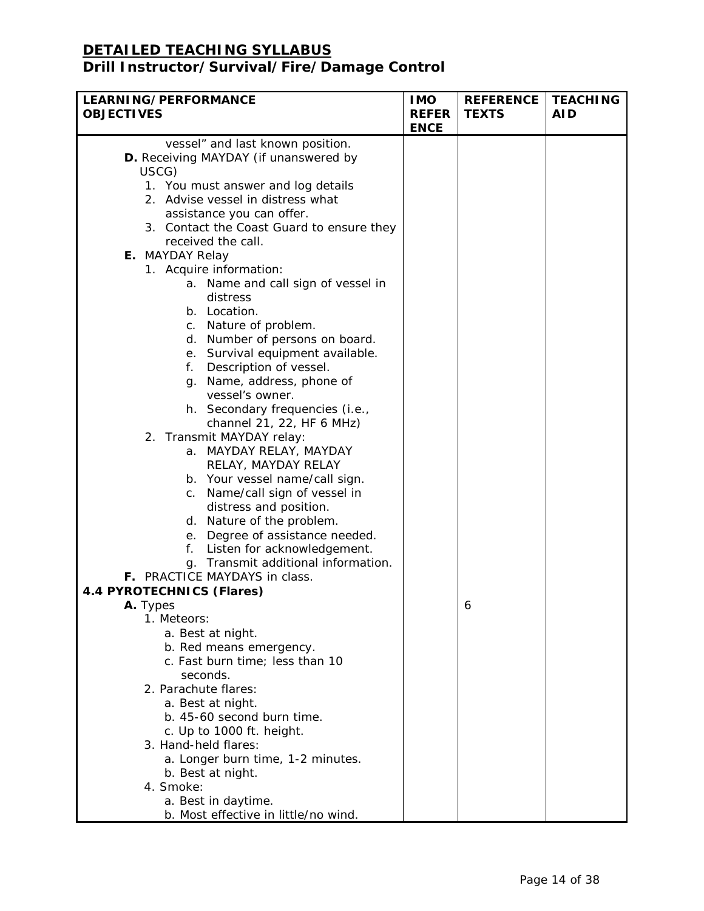| <b>LEARNING/PERFORMANCE</b>               | <b>IMO</b>                  | <b>REFERENCE</b> | <b>TEACHING</b> |
|-------------------------------------------|-----------------------------|------------------|-----------------|
| <b>OBJECTIVES</b>                         | <b>REFER</b><br><b>ENCE</b> | <b>TEXTS</b>     | <b>AID</b>      |
| vessel" and last known position.          |                             |                  |                 |
| D. Receiving MAYDAY (if unanswered by     |                             |                  |                 |
| USCG)                                     |                             |                  |                 |
| 1. You must answer and log details        |                             |                  |                 |
| 2. Advise vessel in distress what         |                             |                  |                 |
| assistance you can offer.                 |                             |                  |                 |
| 3. Contact the Coast Guard to ensure they |                             |                  |                 |
| received the call.                        |                             |                  |                 |
| E. MAYDAY Relay                           |                             |                  |                 |
| 1. Acquire information:                   |                             |                  |                 |
| a. Name and call sign of vessel in        |                             |                  |                 |
| distress                                  |                             |                  |                 |
| b. Location.                              |                             |                  |                 |
| c. Nature of problem.                     |                             |                  |                 |
| d. Number of persons on board.            |                             |                  |                 |
| e. Survival equipment available.          |                             |                  |                 |
| Description of vessel.<br>f.              |                             |                  |                 |
| Name, address, phone of<br>q.             |                             |                  |                 |
| vessel's owner.                           |                             |                  |                 |
| h. Secondary frequencies (i.e.,           |                             |                  |                 |
| channel 21, 22, HF 6 MHz)                 |                             |                  |                 |
| 2. Transmit MAYDAY relay:                 |                             |                  |                 |
| a. MAYDAY RELAY, MAYDAY                   |                             |                  |                 |
| RELAY, MAYDAY RELAY                       |                             |                  |                 |
| b. Your vessel name/call sign.            |                             |                  |                 |
| Name/call sign of vessel in<br>C.         |                             |                  |                 |
| distress and position.                    |                             |                  |                 |
| d. Nature of the problem.                 |                             |                  |                 |
| e. Degree of assistance needed.           |                             |                  |                 |
| Listen for acknowledgement.<br>f.         |                             |                  |                 |
| g. Transmit additional information.       |                             |                  |                 |
| F. PRACTICE MAYDAYS in class.             |                             |                  |                 |
| <b>4.4 PYROTECHNICS (Flares)</b>          |                             |                  |                 |
| <b>A.</b> Types                           |                             | 6                |                 |
| 1. Meteors:                               |                             |                  |                 |
| a. Best at night.                         |                             |                  |                 |
| b. Red means emergency.                   |                             |                  |                 |
| c. Fast burn time; less than 10           |                             |                  |                 |
| seconds.                                  |                             |                  |                 |
| 2. Parachute flares:                      |                             |                  |                 |
| a. Best at night.                         |                             |                  |                 |
| b. 45-60 second burn time.                |                             |                  |                 |
| c. Up to 1000 ft. height.                 |                             |                  |                 |
| 3. Hand-held flares:                      |                             |                  |                 |
| a. Longer burn time, 1-2 minutes.         |                             |                  |                 |
| b. Best at night.                         |                             |                  |                 |
| 4. Smoke:                                 |                             |                  |                 |
| a. Best in daytime.                       |                             |                  |                 |
| b. Most effective in little/no wind.      |                             |                  |                 |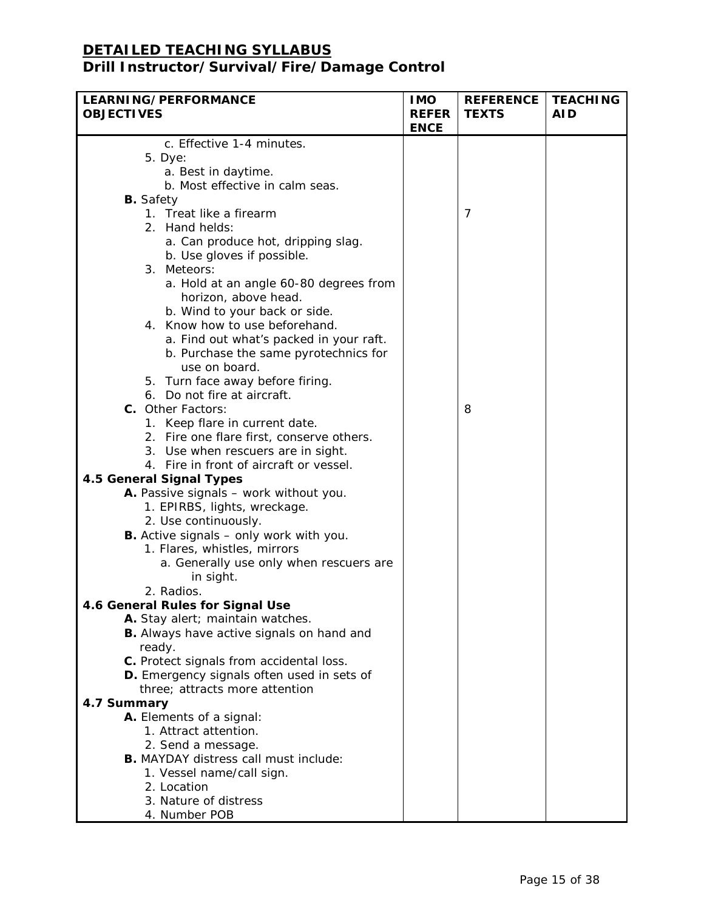| LEARNING/PERFORMANCE                                            | <b>IMO</b>   | <b>REFERENCE</b> | <b>TEACHING</b> |
|-----------------------------------------------------------------|--------------|------------------|-----------------|
| <b>OBJECTIVES</b>                                               | <b>REFER</b> | <b>TEXTS</b>     | <b>AID</b>      |
|                                                                 | <b>ENCE</b>  |                  |                 |
| c. Effective 1-4 minutes.                                       |              |                  |                 |
| 5. Dye:                                                         |              |                  |                 |
| a. Best in daytime.                                             |              |                  |                 |
| b. Most effective in calm seas.                                 |              |                  |                 |
| <b>B.</b> Safety                                                |              |                  |                 |
| 1. Treat like a firearm                                         |              | 7                |                 |
| 2. Hand helds:                                                  |              |                  |                 |
| a. Can produce hot, dripping slag.                              |              |                  |                 |
| b. Use gloves if possible.                                      |              |                  |                 |
| 3. Meteors:                                                     |              |                  |                 |
| a. Hold at an angle 60-80 degrees from<br>horizon, above head.  |              |                  |                 |
|                                                                 |              |                  |                 |
| b. Wind to your back or side.<br>4. Know how to use beforehand. |              |                  |                 |
| a. Find out what's packed in your raft.                         |              |                  |                 |
| b. Purchase the same pyrotechnics for                           |              |                  |                 |
| use on board.                                                   |              |                  |                 |
| 5. Turn face away before firing.                                |              |                  |                 |
| 6. Do not fire at aircraft.                                     |              |                  |                 |
| C. Other Factors:                                               |              | 8                |                 |
| 1. Keep flare in current date.                                  |              |                  |                 |
| 2. Fire one flare first, conserve others.                       |              |                  |                 |
| 3. Use when rescuers are in sight.                              |              |                  |                 |
| 4. Fire in front of aircraft or vessel.                         |              |                  |                 |
| 4.5 General Signal Types                                        |              |                  |                 |
| A. Passive signals - work without you.                          |              |                  |                 |
| 1. EPIRBS, lights, wreckage.                                    |              |                  |                 |
| 2. Use continuously.                                            |              |                  |                 |
| <b>B.</b> Active signals – only work with you.                  |              |                  |                 |
| 1. Flares, whistles, mirrors                                    |              |                  |                 |
| a. Generally use only when rescuers are                         |              |                  |                 |
| in sight.                                                       |              |                  |                 |
| 2. Radios.                                                      |              |                  |                 |
| 4.6 General Rules for Signal Use                                |              |                  |                 |
| A. Stay alert; maintain watches.                                |              |                  |                 |
| B. Always have active signals on hand and                       |              |                  |                 |
| ready.                                                          |              |                  |                 |
| C. Protect signals from accidental loss.                        |              |                  |                 |
| D. Emergency signals often used in sets of                      |              |                  |                 |
| three; attracts more attention                                  |              |                  |                 |
| 4.7 Summary                                                     |              |                  |                 |
| A. Elements of a signal:                                        |              |                  |                 |
| 1. Attract attention.                                           |              |                  |                 |
| 2. Send a message.                                              |              |                  |                 |
| <b>B.</b> MAYDAY distress call must include:                    |              |                  |                 |
| 1. Vessel name/call sign.                                       |              |                  |                 |
| 2. Location                                                     |              |                  |                 |
| 3. Nature of distress                                           |              |                  |                 |
| 4. Number POB                                                   |              |                  |                 |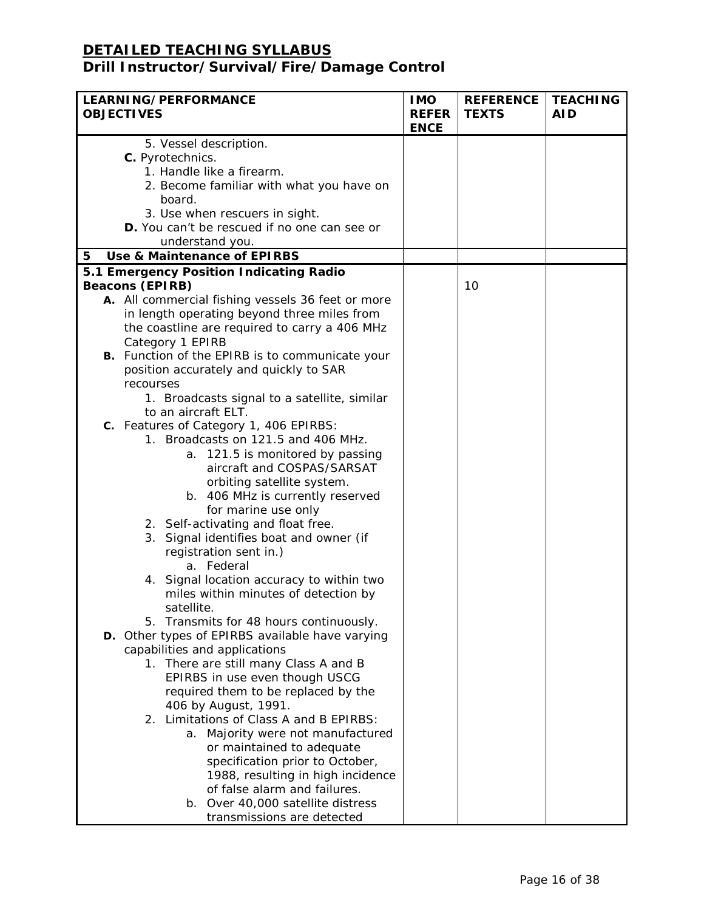|   | LEARNING/PERFORMANCE<br><b>OBJECTIVES</b>         | <b>IMO</b><br><b>REFER</b> | <b>REFERENCE</b><br><b>TEXTS</b> | <b>TEACHING</b><br><b>AID</b> |
|---|---------------------------------------------------|----------------------------|----------------------------------|-------------------------------|
|   |                                                   | <b>ENCE</b>                |                                  |                               |
|   | 5. Vessel description.                            |                            |                                  |                               |
|   | C. Pyrotechnics.                                  |                            |                                  |                               |
|   | 1. Handle like a firearm.                         |                            |                                  |                               |
|   | 2. Become familiar with what you have on          |                            |                                  |                               |
|   | board.                                            |                            |                                  |                               |
|   | 3. Use when rescuers in sight.                    |                            |                                  |                               |
|   | D. You can't be rescued if no one can see or      |                            |                                  |                               |
|   | understand you.                                   |                            |                                  |                               |
| 5 | Use & Maintenance of EPIRBS                       |                            |                                  |                               |
|   | 5.1 Emergency Position Indicating Radio           |                            |                                  |                               |
|   | <b>Beacons (EPIRB)</b>                            |                            | 10                               |                               |
|   | A. All commercial fishing vessels 36 feet or more |                            |                                  |                               |
|   | in length operating beyond three miles from       |                            |                                  |                               |
|   | the coastline are required to carry a 406 MHz     |                            |                                  |                               |
|   | Category 1 EPIRB                                  |                            |                                  |                               |
|   | B. Function of the EPIRB is to communicate your   |                            |                                  |                               |
|   | position accurately and quickly to SAR            |                            |                                  |                               |
|   | recourses                                         |                            |                                  |                               |
|   | 1. Broadcasts signal to a satellite, similar      |                            |                                  |                               |
|   | to an aircraft ELT.                               |                            |                                  |                               |
|   | C. Features of Category 1, 406 EPIRBS:            |                            |                                  |                               |
|   | 1. Broadcasts on 121.5 and 406 MHz.               |                            |                                  |                               |
|   | a. 121.5 is monitored by passing                  |                            |                                  |                               |
|   | aircraft and COSPAS/SARSAT                        |                            |                                  |                               |
|   | orbiting satellite system.                        |                            |                                  |                               |
|   | b. 406 MHz is currently reserved                  |                            |                                  |                               |
|   | for marine use only                               |                            |                                  |                               |
|   | 2. Self-activating and float free.                |                            |                                  |                               |
|   | 3. Signal identifies boat and owner (if           |                            |                                  |                               |
|   | registration sent in.)                            |                            |                                  |                               |
|   | a. Federal                                        |                            |                                  |                               |
|   | 4. Signal location accuracy to within two         |                            |                                  |                               |
|   | miles within minutes of detection by              |                            |                                  |                               |
|   | satellite.                                        |                            |                                  |                               |
|   | 5. Transmits for 48 hours continuously.           |                            |                                  |                               |
|   | D. Other types of EPIRBS available have varying   |                            |                                  |                               |
|   | capabilities and applications                     |                            |                                  |                               |
|   | 1. There are still many Class A and B             |                            |                                  |                               |
|   | EPIRBS in use even though USCG                    |                            |                                  |                               |
|   | required them to be replaced by the               |                            |                                  |                               |
|   | 406 by August, 1991.                              |                            |                                  |                               |
|   | 2. Limitations of Class A and B EPIRBS:           |                            |                                  |                               |
|   | Majority were not manufactured<br>а.              |                            |                                  |                               |
|   | or maintained to adequate                         |                            |                                  |                               |
|   | specification prior to October,                   |                            |                                  |                               |
|   | 1988, resulting in high incidence                 |                            |                                  |                               |
|   | of false alarm and failures.                      |                            |                                  |                               |
|   | b. Over 40,000 satellite distress                 |                            |                                  |                               |
|   | transmissions are detected                        |                            |                                  |                               |
|   |                                                   |                            |                                  |                               |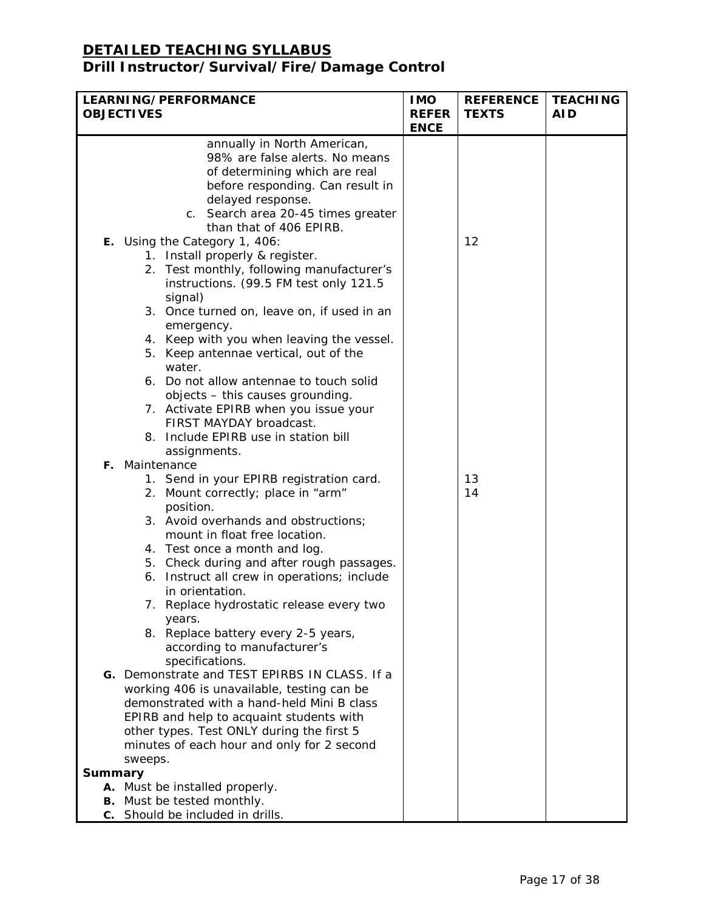|                | LEARNING/PERFORMANCE                                                | <b>IMO</b>                  | <b>REFERENCE</b> | <b>TEACHING</b> |
|----------------|---------------------------------------------------------------------|-----------------------------|------------------|-----------------|
|                | <b>OBJECTIVES</b>                                                   | <b>REFER</b><br><b>ENCE</b> | <b>TEXTS</b>     | <b>AID</b>      |
|                | annually in North American,                                         |                             |                  |                 |
|                | 98% are false alerts. No means                                      |                             |                  |                 |
|                | of determining which are real                                       |                             |                  |                 |
|                | before responding. Can result in                                    |                             |                  |                 |
|                | delayed response.<br>c. Search area 20-45 times greater             |                             |                  |                 |
|                | than that of 406 EPIRB.                                             |                             |                  |                 |
|                | E. Using the Category 1, 406:                                       |                             | 12               |                 |
|                | 1. Install properly & register.                                     |                             |                  |                 |
|                | 2. Test monthly, following manufacturer's                           |                             |                  |                 |
|                | instructions. (99.5 FM test only 121.5                              |                             |                  |                 |
|                | signal)                                                             |                             |                  |                 |
|                | 3. Once turned on, leave on, if used in an                          |                             |                  |                 |
|                | emergency.                                                          |                             |                  |                 |
|                | 4. Keep with you when leaving the vessel.                           |                             |                  |                 |
|                | 5. Keep antennae vertical, out of the                               |                             |                  |                 |
|                | water.                                                              |                             |                  |                 |
|                | 6. Do not allow antennae to touch solid                             |                             |                  |                 |
|                | objects - this causes grounding.                                    |                             |                  |                 |
|                | 7. Activate EPIRB when you issue your                               |                             |                  |                 |
|                | FIRST MAYDAY broadcast.                                             |                             |                  |                 |
|                | 8. Include EPIRB use in station bill                                |                             |                  |                 |
|                | assignments.                                                        |                             |                  |                 |
|                | <b>F.</b> Maintenance                                               |                             |                  |                 |
|                | 1. Send in your EPIRB registration card.                            |                             | 13               |                 |
|                | 2. Mount correctly; place in "arm"                                  |                             | 14               |                 |
|                | position.<br>3. Avoid overhands and obstructions;                   |                             |                  |                 |
|                | mount in float free location.                                       |                             |                  |                 |
|                | 4. Test once a month and log.                                       |                             |                  |                 |
|                | 5. Check during and after rough passages.                           |                             |                  |                 |
|                | Instruct all crew in operations; include<br>6.                      |                             |                  |                 |
|                | in orientation.                                                     |                             |                  |                 |
|                | Replace hydrostatic release every two<br>$\mathcal{L}$ .            |                             |                  |                 |
|                | years.                                                              |                             |                  |                 |
|                | 8. Replace battery every 2-5 years,                                 |                             |                  |                 |
|                | according to manufacturer's                                         |                             |                  |                 |
|                | specifications.                                                     |                             |                  |                 |
|                | G. Demonstrate and TEST EPIRBS IN CLASS. If a                       |                             |                  |                 |
|                | working 406 is unavailable, testing can be                          |                             |                  |                 |
|                | demonstrated with a hand-held Mini B class                          |                             |                  |                 |
|                | EPIRB and help to acquaint students with                            |                             |                  |                 |
|                | other types. Test ONLY during the first 5                           |                             |                  |                 |
|                | minutes of each hour and only for 2 second                          |                             |                  |                 |
|                | sweeps.                                                             |                             |                  |                 |
| <b>Summary</b> |                                                                     |                             |                  |                 |
|                | A. Must be installed properly.<br><b>B.</b> Must be tested monthly. |                             |                  |                 |
|                | <b>c.</b> Should be included in drills.                             |                             |                  |                 |
|                |                                                                     |                             |                  |                 |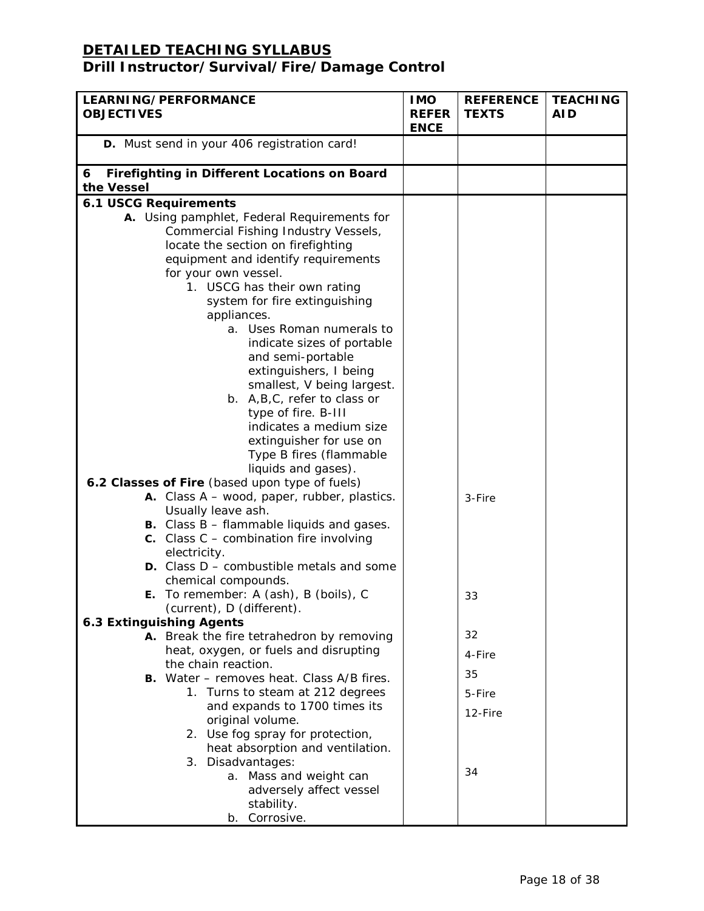| LEARNING/PERFORMANCE<br><b>OBJECTIVES</b>                                                                                                                                                                                                                                                                                                                                                                                                                                                                                                                    | <b>IMO</b><br><b>REFER</b><br><b>ENCE</b> | <b>REFERENCE</b><br><b>TEXTS</b> | <b>TEACHING</b><br><b>AID</b> |
|--------------------------------------------------------------------------------------------------------------------------------------------------------------------------------------------------------------------------------------------------------------------------------------------------------------------------------------------------------------------------------------------------------------------------------------------------------------------------------------------------------------------------------------------------------------|-------------------------------------------|----------------------------------|-------------------------------|
| D. Must send in your 406 registration card!                                                                                                                                                                                                                                                                                                                                                                                                                                                                                                                  |                                           |                                  |                               |
| Firefighting in Different Locations on Board<br>6<br>the Vessel                                                                                                                                                                                                                                                                                                                                                                                                                                                                                              |                                           |                                  |                               |
| <b>6.1 USCG Requirements</b>                                                                                                                                                                                                                                                                                                                                                                                                                                                                                                                                 |                                           |                                  |                               |
| A. Using pamphlet, Federal Requirements for<br>Commercial Fishing Industry Vessels,<br>locate the section on firefighting<br>equipment and identify requirements<br>for your own vessel.<br>1. USCG has their own rating<br>system for fire extinguishing<br>appliances.<br>Uses Roman numerals to<br>a.<br>indicate sizes of portable<br>and semi-portable<br>extinguishers, I being<br>smallest, V being largest.<br>b. A, B, C, refer to class or<br>type of fire. B-III<br>indicates a medium size<br>extinguisher for use on<br>Type B fires (flammable |                                           |                                  |                               |
| liquids and gases).<br>6.2 Classes of Fire (based upon type of fuels)<br>A. Class A - wood, paper, rubber, plastics.<br>Usually leave ash.<br><b>B.</b> Class $B -$ flammable liquids and gases.<br><b>c.</b> Class $C -$ combination fire involving<br>electricity.<br><b>D.</b> Class $D$ – combustible metals and some                                                                                                                                                                                                                                    |                                           | 3-Fire                           |                               |
| chemical compounds.                                                                                                                                                                                                                                                                                                                                                                                                                                                                                                                                          |                                           |                                  |                               |
| E. To remember: A (ash), B (boils), C                                                                                                                                                                                                                                                                                                                                                                                                                                                                                                                        |                                           | 33                               |                               |
| (current), D (different).                                                                                                                                                                                                                                                                                                                                                                                                                                                                                                                                    |                                           |                                  |                               |
| <b>6.3 Extinguishing Agents</b>                                                                                                                                                                                                                                                                                                                                                                                                                                                                                                                              |                                           |                                  |                               |
| A. Break the fire tetrahedron by removing                                                                                                                                                                                                                                                                                                                                                                                                                                                                                                                    |                                           | 32                               |                               |
| heat, oxygen, or fuels and disrupting                                                                                                                                                                                                                                                                                                                                                                                                                                                                                                                        |                                           | 4-Fire                           |                               |
| the chain reaction.                                                                                                                                                                                                                                                                                                                                                                                                                                                                                                                                          |                                           | 35                               |                               |
| <b>B.</b> Water – removes heat. Class A/B fires.                                                                                                                                                                                                                                                                                                                                                                                                                                                                                                             |                                           |                                  |                               |
| 1. Turns to steam at 212 degrees                                                                                                                                                                                                                                                                                                                                                                                                                                                                                                                             |                                           | 5-Fire                           |                               |
| and expands to 1700 times its<br>original volume.<br>2. Use fog spray for protection,<br>heat absorption and ventilation.<br>3. Disadvantages:<br>a. Mass and weight can<br>adversely affect vessel<br>stability.                                                                                                                                                                                                                                                                                                                                            |                                           | 12-Fire<br>34                    |                               |
| b. Corrosive.                                                                                                                                                                                                                                                                                                                                                                                                                                                                                                                                                |                                           |                                  |                               |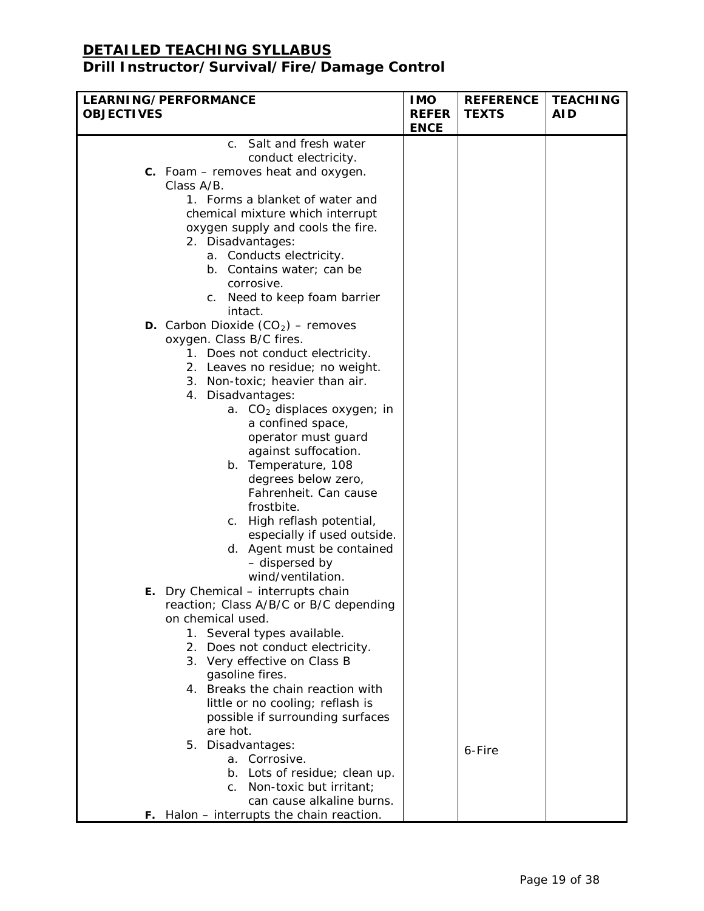|                   | <b>LEARNING/PERFORMANCE</b>                                         | <b>IMO</b>                  | <b>REFERENCE</b> | <b>TEACHING</b> |
|-------------------|---------------------------------------------------------------------|-----------------------------|------------------|-----------------|
| <b>OBJECTIVES</b> |                                                                     | <b>REFER</b><br><b>ENCE</b> | <b>TEXTS</b>     | <b>AID</b>      |
|                   | c. Salt and fresh water                                             |                             |                  |                 |
|                   | conduct electricity.                                                |                             |                  |                 |
|                   | <b>C.</b> Foam – removes heat and oxygen.                           |                             |                  |                 |
|                   | Class A/B.                                                          |                             |                  |                 |
|                   | 1. Forms a blanket of water and                                     |                             |                  |                 |
|                   | chemical mixture which interrupt                                    |                             |                  |                 |
|                   | oxygen supply and cools the fire.                                   |                             |                  |                 |
|                   | 2. Disadvantages:                                                   |                             |                  |                 |
|                   | a. Conducts electricity.                                            |                             |                  |                 |
|                   | b. Contains water; can be                                           |                             |                  |                 |
|                   | corrosive.                                                          |                             |                  |                 |
|                   | c. Need to keep foam barrier                                        |                             |                  |                 |
|                   | intact.                                                             |                             |                  |                 |
|                   | <b>D.</b> Carbon Dioxide $(CO2)$ – removes                          |                             |                  |                 |
|                   | oxygen. Class B/C fires.                                            |                             |                  |                 |
|                   | 1. Does not conduct electricity.                                    |                             |                  |                 |
|                   | 2. Leaves no residue; no weight.<br>3. Non-toxic; heavier than air. |                             |                  |                 |
|                   | 4. Disadvantages:                                                   |                             |                  |                 |
|                   | a. CO <sub>2</sub> displaces oxygen; in                             |                             |                  |                 |
|                   | a confined space,                                                   |                             |                  |                 |
|                   | operator must guard                                                 |                             |                  |                 |
|                   | against suffocation.                                                |                             |                  |                 |
|                   | b. Temperature, 108                                                 |                             |                  |                 |
|                   | degrees below zero,                                                 |                             |                  |                 |
|                   | Fahrenheit. Can cause                                               |                             |                  |                 |
|                   | frostbite.                                                          |                             |                  |                 |
|                   | c. High reflash potential,                                          |                             |                  |                 |
|                   | especially if used outside.                                         |                             |                  |                 |
|                   | d. Agent must be contained                                          |                             |                  |                 |
|                   | - dispersed by                                                      |                             |                  |                 |
|                   | wind/ventilation.                                                   |                             |                  |                 |
|                   | E. Dry Chemical - interrupts chain                                  |                             |                  |                 |
|                   | reaction; Class A/B/C or B/C depending                              |                             |                  |                 |
|                   | on chemical used.                                                   |                             |                  |                 |
|                   | 1. Several types available.                                         |                             |                  |                 |
|                   | Does not conduct electricity.<br>2.                                 |                             |                  |                 |
|                   | 3. Very effective on Class B                                        |                             |                  |                 |
|                   | gasoline fires.<br>4. Breaks the chain reaction with                |                             |                  |                 |
|                   | little or no cooling; reflash is                                    |                             |                  |                 |
|                   | possible if surrounding surfaces                                    |                             |                  |                 |
|                   | are hot.                                                            |                             |                  |                 |
|                   | 5. Disadvantages:                                                   |                             |                  |                 |
|                   | a. Corrosive.                                                       |                             | 6-Fire           |                 |
|                   | b. Lots of residue; clean up.                                       |                             |                  |                 |
|                   | c. Non-toxic but irritant;                                          |                             |                  |                 |
|                   | can cause alkaline burns.                                           |                             |                  |                 |
|                   | F. Halon - interrupts the chain reaction.                           |                             |                  |                 |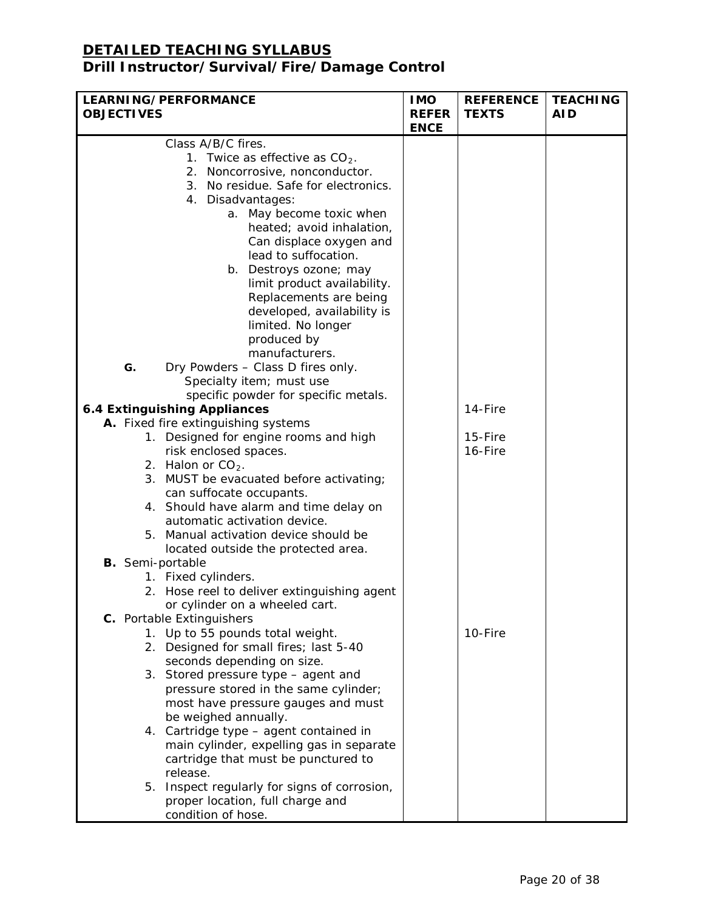|                   | <b>LEARNING/PERFORMANCE</b>                                                 | <b>IMO</b>                  | <b>REFERENCE</b> | <b>TEACHING</b> |
|-------------------|-----------------------------------------------------------------------------|-----------------------------|------------------|-----------------|
| <b>OBJECTIVES</b> |                                                                             | <b>REFER</b><br><b>ENCE</b> | <b>TEXTS</b>     | AI D            |
|                   | Class A/B/C fires.                                                          |                             |                  |                 |
|                   | 1. Twice as effective as $CO2$ .                                            |                             |                  |                 |
|                   | 2. Noncorrosive, nonconductor.                                              |                             |                  |                 |
|                   | 3. No residue. Safe for electronics.                                        |                             |                  |                 |
|                   | 4. Disadvantages:                                                           |                             |                  |                 |
|                   | a. May become toxic when                                                    |                             |                  |                 |
|                   | heated; avoid inhalation,                                                   |                             |                  |                 |
|                   | Can displace oxygen and                                                     |                             |                  |                 |
|                   | lead to suffocation.                                                        |                             |                  |                 |
|                   | b. Destroys ozone; may                                                      |                             |                  |                 |
|                   | limit product availability.                                                 |                             |                  |                 |
|                   | Replacements are being                                                      |                             |                  |                 |
|                   | developed, availability is                                                  |                             |                  |                 |
|                   | limited. No longer                                                          |                             |                  |                 |
|                   | produced by                                                                 |                             |                  |                 |
|                   | manufacturers.                                                              |                             |                  |                 |
| G.                | Dry Powders - Class D fires only.                                           |                             |                  |                 |
|                   | Specialty item; must use                                                    |                             |                  |                 |
|                   | specific powder for specific metals.<br><b>6.4 Extinguishing Appliances</b> |                             | 14-Fire          |                 |
|                   | A. Fixed fire extinguishing systems                                         |                             |                  |                 |
|                   | 1. Designed for engine rooms and high                                       |                             | 15-Fire          |                 |
|                   | risk enclosed spaces.                                                       |                             | 16-Fire          |                 |
|                   | 2. Halon or $CO2$ .                                                         |                             |                  |                 |
|                   | 3. MUST be evacuated before activating;                                     |                             |                  |                 |
|                   | can suffocate occupants.                                                    |                             |                  |                 |
|                   | 4. Should have alarm and time delay on                                      |                             |                  |                 |
|                   | automatic activation device.                                                |                             |                  |                 |
|                   | 5. Manual activation device should be                                       |                             |                  |                 |
|                   | located outside the protected area.                                         |                             |                  |                 |
|                   | <b>B.</b> Semi-portable                                                     |                             |                  |                 |
|                   | 1. Fixed cylinders.                                                         |                             |                  |                 |
|                   | 2. Hose reel to deliver extinguishing agent                                 |                             |                  |                 |
|                   | or cylinder on a wheeled cart.                                              |                             |                  |                 |
|                   | C. Portable Extinguishers                                                   |                             |                  |                 |
|                   | 1. Up to 55 pounds total weight.                                            |                             | 10-Fire          |                 |
|                   | 2. Designed for small fires; last 5-40                                      |                             |                  |                 |
|                   | seconds depending on size.                                                  |                             |                  |                 |
|                   | 3. Stored pressure type - agent and                                         |                             |                  |                 |
|                   | pressure stored in the same cylinder;<br>most have pressure gauges and must |                             |                  |                 |
|                   | be weighed annually.                                                        |                             |                  |                 |
|                   | 4. Cartridge type - agent contained in                                      |                             |                  |                 |
|                   | main cylinder, expelling gas in separate                                    |                             |                  |                 |
|                   | cartridge that must be punctured to                                         |                             |                  |                 |
|                   | release.                                                                    |                             |                  |                 |
|                   | 5. Inspect regularly for signs of corrosion,                                |                             |                  |                 |
|                   | proper location, full charge and                                            |                             |                  |                 |
|                   | condition of hose.                                                          |                             |                  |                 |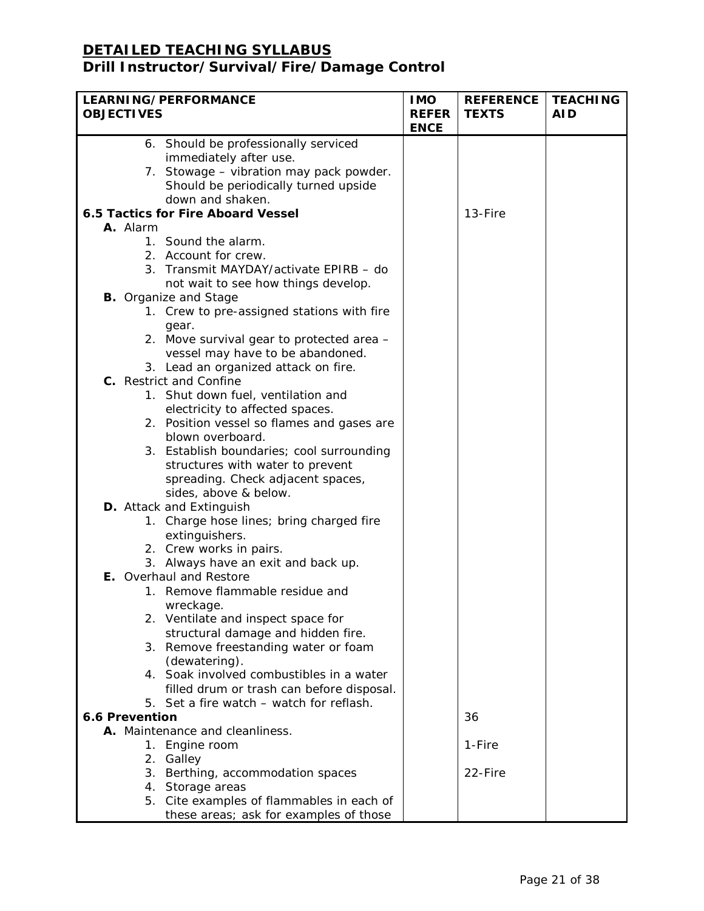| <b>OBJECTIVES</b>     | LEARNING/PERFORMANCE                                                                | <b>IMO</b><br><b>REFER</b><br><b>ENCE</b> | <b>REFERENCE</b><br><b>TEXTS</b> | <b>TEACHING</b><br><b>AID</b> |
|-----------------------|-------------------------------------------------------------------------------------|-------------------------------------------|----------------------------------|-------------------------------|
|                       | 6. Should be professionally serviced                                                |                                           |                                  |                               |
|                       |                                                                                     |                                           |                                  |                               |
|                       | immediately after use.                                                              |                                           |                                  |                               |
|                       | 7. Stowage - vibration may pack powder.                                             |                                           |                                  |                               |
|                       | Should be periodically turned upside                                                |                                           |                                  |                               |
|                       | down and shaken.                                                                    |                                           |                                  |                               |
|                       | 6.5 Tactics for Fire Aboard Vessel                                                  |                                           | 13-Fire                          |                               |
| A. Alarm              |                                                                                     |                                           |                                  |                               |
|                       | 1. Sound the alarm.                                                                 |                                           |                                  |                               |
|                       | 2. Account for crew.                                                                |                                           |                                  |                               |
|                       | 3. Transmit MAYDAY/activate EPIRB - do                                              |                                           |                                  |                               |
|                       | not wait to see how things develop.                                                 |                                           |                                  |                               |
|                       | <b>B.</b> Organize and Stage                                                        |                                           |                                  |                               |
|                       | 1. Crew to pre-assigned stations with fire                                          |                                           |                                  |                               |
|                       | gear.                                                                               |                                           |                                  |                               |
|                       | 2. Move survival gear to protected area -                                           |                                           |                                  |                               |
|                       | vessel may have to be abandoned.                                                    |                                           |                                  |                               |
|                       | 3. Lead an organized attack on fire.                                                |                                           |                                  |                               |
|                       | C. Restrict and Confine                                                             |                                           |                                  |                               |
|                       | 1. Shut down fuel, ventilation and                                                  |                                           |                                  |                               |
|                       | electricity to affected spaces.                                                     |                                           |                                  |                               |
|                       | 2. Position vessel so flames and gases are                                          |                                           |                                  |                               |
|                       |                                                                                     |                                           |                                  |                               |
|                       | blown overboard.                                                                    |                                           |                                  |                               |
|                       | 3. Establish boundaries; cool surrounding                                           |                                           |                                  |                               |
|                       | structures with water to prevent                                                    |                                           |                                  |                               |
|                       | spreading. Check adjacent spaces,                                                   |                                           |                                  |                               |
|                       | sides, above & below.                                                               |                                           |                                  |                               |
|                       | D. Attack and Extinguish                                                            |                                           |                                  |                               |
|                       | 1. Charge hose lines; bring charged fire                                            |                                           |                                  |                               |
|                       | extinguishers.                                                                      |                                           |                                  |                               |
|                       | 2. Crew works in pairs.                                                             |                                           |                                  |                               |
|                       | 3. Always have an exit and back up.                                                 |                                           |                                  |                               |
|                       | E. Overhaul and Restore                                                             |                                           |                                  |                               |
|                       | 1. Remove flammable residue and                                                     |                                           |                                  |                               |
|                       | wreckage.                                                                           |                                           |                                  |                               |
|                       | 2. Ventilate and inspect space for                                                  |                                           |                                  |                               |
|                       | structural damage and hidden fire.                                                  |                                           |                                  |                               |
|                       | 3. Remove freestanding water or foam                                                |                                           |                                  |                               |
|                       | (dewatering).                                                                       |                                           |                                  |                               |
|                       | 4. Soak involved combustibles in a water                                            |                                           |                                  |                               |
|                       | filled drum or trash can before disposal.                                           |                                           |                                  |                               |
|                       | 5. Set a fire watch - watch for reflash.                                            |                                           |                                  |                               |
| <b>6.6 Prevention</b> |                                                                                     |                                           | 36                               |                               |
|                       | A. Maintenance and cleanliness.                                                     |                                           |                                  |                               |
|                       | 1. Engine room                                                                      |                                           | 1-Fire                           |                               |
|                       | 2. Galley                                                                           |                                           |                                  |                               |
|                       |                                                                                     |                                           | 22-Fire                          |                               |
|                       | 3. Berthing, accommodation spaces                                                   |                                           |                                  |                               |
|                       | 4. Storage areas                                                                    |                                           |                                  |                               |
|                       | 5. Cite examples of flammables in each of<br>these areas; ask for examples of those |                                           |                                  |                               |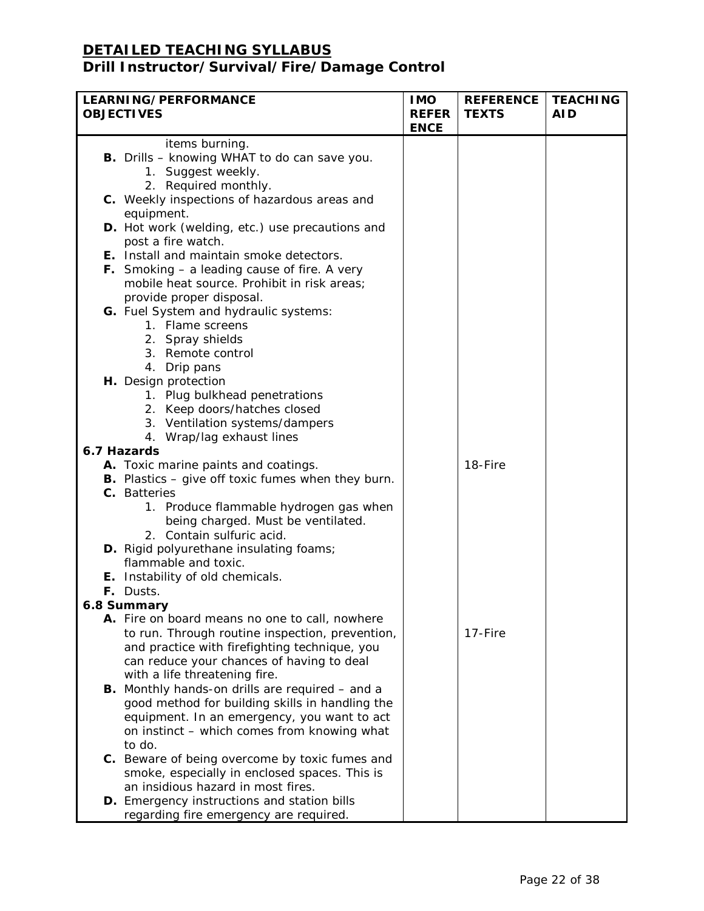| <b>LEARNING/PERFORMANCE</b>                                                                       | <b>IMO</b>                  | <b>REFERENCE</b> | <b>TEACHING</b> |
|---------------------------------------------------------------------------------------------------|-----------------------------|------------------|-----------------|
| <b>OBJECTIVES</b>                                                                                 | <b>REFER</b><br><b>ENCE</b> | <b>TEXTS</b>     | <b>AID</b>      |
| items burning.                                                                                    |                             |                  |                 |
| <b>B.</b> Drills - knowing WHAT to do can save you.                                               |                             |                  |                 |
| 1. Suggest weekly.                                                                                |                             |                  |                 |
| 2. Required monthly.                                                                              |                             |                  |                 |
| C. Weekly inspections of hazardous areas and                                                      |                             |                  |                 |
| equipment.                                                                                        |                             |                  |                 |
| D. Hot work (welding, etc.) use precautions and                                                   |                             |                  |                 |
| post a fire watch.                                                                                |                             |                  |                 |
| <b>E.</b> Install and maintain smoke detectors.                                                   |                             |                  |                 |
| <b>F.</b> Smoking $-$ a leading cause of fire. A very                                             |                             |                  |                 |
| mobile heat source. Prohibit in risk areas;                                                       |                             |                  |                 |
| provide proper disposal.                                                                          |                             |                  |                 |
| G. Fuel System and hydraulic systems:                                                             |                             |                  |                 |
| 1. Flame screens                                                                                  |                             |                  |                 |
| 2. Spray shields                                                                                  |                             |                  |                 |
| 3. Remote control<br>4. Drip pans                                                                 |                             |                  |                 |
| H. Design protection                                                                              |                             |                  |                 |
| 1. Plug bulkhead penetrations                                                                     |                             |                  |                 |
| 2. Keep doors/hatches closed                                                                      |                             |                  |                 |
| 3. Ventilation systems/dampers                                                                    |                             |                  |                 |
| 4. Wrap/lag exhaust lines                                                                         |                             |                  |                 |
| 6.7 Hazards                                                                                       |                             |                  |                 |
| A. Toxic marine paints and coatings.                                                              |                             | 18-Fire          |                 |
| <b>B.</b> Plastics $-$ give off toxic fumes when they burn.                                       |                             |                  |                 |
| C. Batteries                                                                                      |                             |                  |                 |
| 1. Produce flammable hydrogen gas when                                                            |                             |                  |                 |
| being charged. Must be ventilated.                                                                |                             |                  |                 |
| 2. Contain sulfuric acid.                                                                         |                             |                  |                 |
| D. Rigid polyurethane insulating foams;                                                           |                             |                  |                 |
| flammable and toxic.                                                                              |                             |                  |                 |
| E. Instability of old chemicals.                                                                  |                             |                  |                 |
| F. Dusts.                                                                                         |                             |                  |                 |
| 6.8 Summary                                                                                       |                             |                  |                 |
| A. Fire on board means no one to call, nowhere<br>to run. Through routine inspection, prevention, |                             | 17-Fire          |                 |
| and practice with firefighting technique, you                                                     |                             |                  |                 |
| can reduce your chances of having to deal                                                         |                             |                  |                 |
| with a life threatening fire.                                                                     |                             |                  |                 |
| <b>B.</b> Monthly hands-on drills are required $-$ and a                                          |                             |                  |                 |
| good method for building skills in handling the                                                   |                             |                  |                 |
| equipment. In an emergency, you want to act                                                       |                             |                  |                 |
| on instinct - which comes from knowing what                                                       |                             |                  |                 |
| to do.                                                                                            |                             |                  |                 |
| C. Beware of being overcome by toxic fumes and                                                    |                             |                  |                 |
| smoke, especially in enclosed spaces. This is                                                     |                             |                  |                 |
| an insidious hazard in most fires.                                                                |                             |                  |                 |
| D. Emergency instructions and station bills                                                       |                             |                  |                 |
| regarding fire emergency are required.                                                            |                             |                  |                 |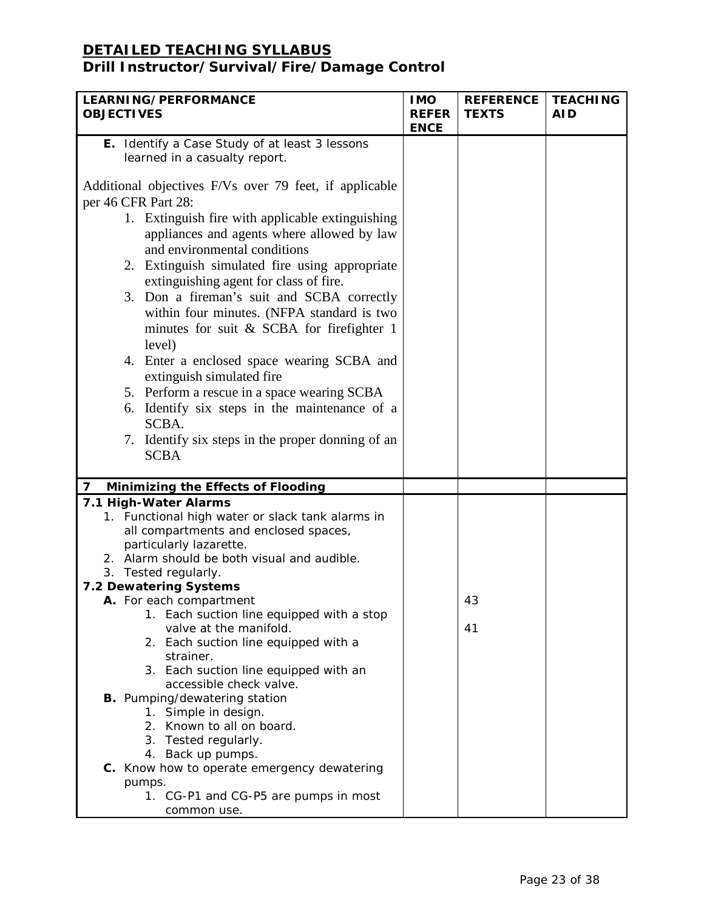| LEARNING/PERFORMANCE<br><b>OBJECTIVES</b>                                                                                                                                                                                                                                                                                                                                                                                                                                                                                                                                                                                                                                                                              | <b>IMO</b><br><b>REFERENCE</b><br><b>TEACHING</b><br><b>REFER</b><br><b>TEXTS</b><br>AI D |
|------------------------------------------------------------------------------------------------------------------------------------------------------------------------------------------------------------------------------------------------------------------------------------------------------------------------------------------------------------------------------------------------------------------------------------------------------------------------------------------------------------------------------------------------------------------------------------------------------------------------------------------------------------------------------------------------------------------------|-------------------------------------------------------------------------------------------|
|                                                                                                                                                                                                                                                                                                                                                                                                                                                                                                                                                                                                                                                                                                                        | <b>ENCE</b>                                                                               |
| E. Identify a Case Study of at least 3 lessons<br>learned in a casualty report.                                                                                                                                                                                                                                                                                                                                                                                                                                                                                                                                                                                                                                        |                                                                                           |
| Additional objectives F/Vs over 79 feet, if applicable<br>per 46 CFR Part 28:<br>1. Extinguish fire with applicable extinguishing<br>appliances and agents where allowed by law<br>and environmental conditions<br>2. Extinguish simulated fire using appropriate<br>extinguishing agent for class of fire.<br>3. Don a fireman's suit and SCBA correctly<br>within four minutes. (NFPA standard is two<br>minutes for suit & SCBA for firefighter 1<br>level)<br>4. Enter a enclosed space wearing SCBA and<br>extinguish simulated fire<br>5. Perform a rescue in a space wearing SCBA<br>6. Identify six steps in the maintenance of a<br>SCBA.<br>7. Identify six steps in the proper donning of an<br><b>SCBA</b> |                                                                                           |
| <b>Minimizing the Effects of Flooding</b><br>7                                                                                                                                                                                                                                                                                                                                                                                                                                                                                                                                                                                                                                                                         |                                                                                           |
| 7.1 High-Water Alarms<br>1. Functional high water or slack tank alarms in<br>all compartments and enclosed spaces,<br>particularly lazarette.<br>2. Alarm should be both visual and audible.<br>3. Tested regularly.                                                                                                                                                                                                                                                                                                                                                                                                                                                                                                   |                                                                                           |
| 7.2 Dewatering Systems                                                                                                                                                                                                                                                                                                                                                                                                                                                                                                                                                                                                                                                                                                 |                                                                                           |
| A. For each compartment<br>1. Each suction line equipped with a stop<br>valve at the manifold.<br>2. Each suction line equipped with a<br>strainer.<br>3. Each suction line equipped with an<br>accessible check valve.                                                                                                                                                                                                                                                                                                                                                                                                                                                                                                | 43<br>41                                                                                  |
| <b>B.</b> Pumping/dewatering station<br>1. Simple in design.<br>2. Known to all on board.<br>3. Tested regularly.<br>4. Back up pumps.<br>C. Know how to operate emergency dewatering<br>pumps.<br>1. CG-P1 and CG-P5 are pumps in most<br>common use.                                                                                                                                                                                                                                                                                                                                                                                                                                                                 |                                                                                           |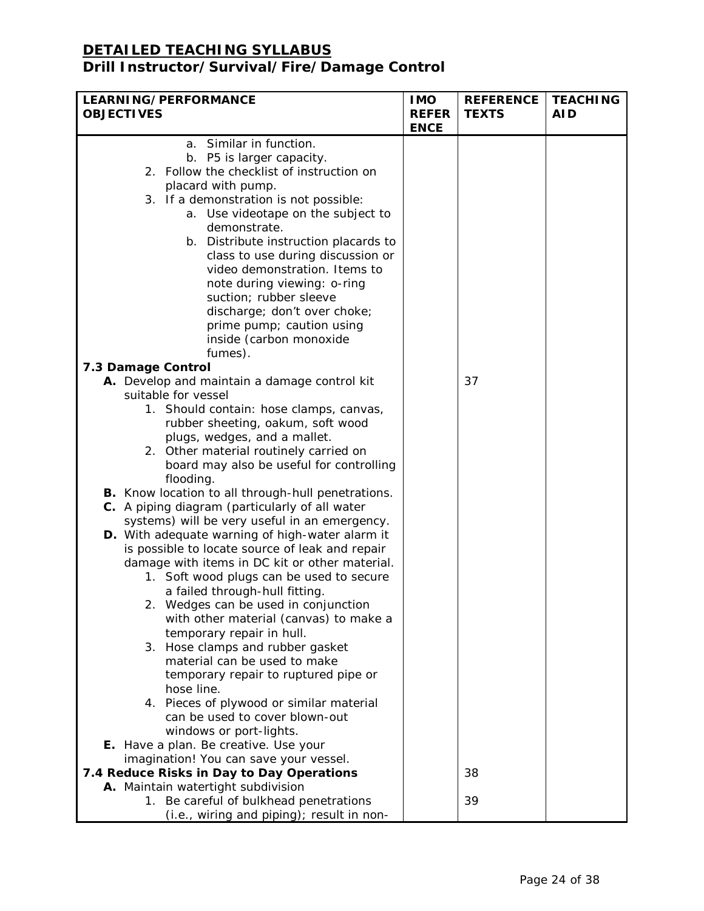| LEARNING/PERFORMANCE                                                                            | <b>IMO</b>                  | <b>REFERENCE</b> | <b>TEACHING</b> |
|-------------------------------------------------------------------------------------------------|-----------------------------|------------------|-----------------|
| <b>OBJECTIVES</b>                                                                               | <b>REFER</b><br><b>ENCE</b> | <b>TEXTS</b>     | <b>AID</b>      |
| a. Similar in function.                                                                         |                             |                  |                 |
| b. P5 is larger capacity.                                                                       |                             |                  |                 |
| 2. Follow the checklist of instruction on                                                       |                             |                  |                 |
| placard with pump.                                                                              |                             |                  |                 |
| 3. If a demonstration is not possible:                                                          |                             |                  |                 |
| a. Use videotape on the subject to                                                              |                             |                  |                 |
| demonstrate.                                                                                    |                             |                  |                 |
| b. Distribute instruction placards to                                                           |                             |                  |                 |
| class to use during discussion or                                                               |                             |                  |                 |
| video demonstration. Items to                                                                   |                             |                  |                 |
| note during viewing: o-ring                                                                     |                             |                  |                 |
| suction; rubber sleeve                                                                          |                             |                  |                 |
| discharge; don't over choke;                                                                    |                             |                  |                 |
| prime pump; caution using                                                                       |                             |                  |                 |
| inside (carbon monoxide                                                                         |                             |                  |                 |
| fumes).                                                                                         |                             |                  |                 |
| 7.3 Damage Control                                                                              |                             |                  |                 |
| A. Develop and maintain a damage control kit                                                    |                             | 37               |                 |
| suitable for vessel                                                                             |                             |                  |                 |
| 1. Should contain: hose clamps, canvas,                                                         |                             |                  |                 |
| rubber sheeting, oakum, soft wood                                                               |                             |                  |                 |
| plugs, wedges, and a mallet.                                                                    |                             |                  |                 |
| 2. Other material routinely carried on                                                          |                             |                  |                 |
| board may also be useful for controlling                                                        |                             |                  |                 |
| flooding.                                                                                       |                             |                  |                 |
| B. Know location to all through-hull penetrations.                                              |                             |                  |                 |
| C. A piping diagram (particularly of all water<br>systems) will be very useful in an emergency. |                             |                  |                 |
| D. With adequate warning of high-water alarm it                                                 |                             |                  |                 |
| is possible to locate source of leak and repair                                                 |                             |                  |                 |
| damage with items in DC kit or other material.                                                  |                             |                  |                 |
| 1. Soft wood plugs can be used to secure                                                        |                             |                  |                 |
| a failed through-hull fitting.                                                                  |                             |                  |                 |
| 2. Wedges can be used in conjunction                                                            |                             |                  |                 |
| with other material (canvas) to make a                                                          |                             |                  |                 |
| temporary repair in hull.                                                                       |                             |                  |                 |
| 3. Hose clamps and rubber gasket                                                                |                             |                  |                 |
| material can be used to make                                                                    |                             |                  |                 |
| temporary repair to ruptured pipe or                                                            |                             |                  |                 |
| hose line.                                                                                      |                             |                  |                 |
| 4. Pieces of plywood or similar material                                                        |                             |                  |                 |
| can be used to cover blown-out                                                                  |                             |                  |                 |
| windows or port-lights.                                                                         |                             |                  |                 |
| E. Have a plan. Be creative. Use your                                                           |                             |                  |                 |
| imagination! You can save your vessel.                                                          |                             |                  |                 |
| 7.4 Reduce Risks in Day to Day Operations                                                       |                             | 38               |                 |
| A. Maintain watertight subdivision                                                              |                             |                  |                 |
| 1. Be careful of bulkhead penetrations                                                          |                             | 39               |                 |
| (i.e., wiring and piping); result in non-                                                       |                             |                  |                 |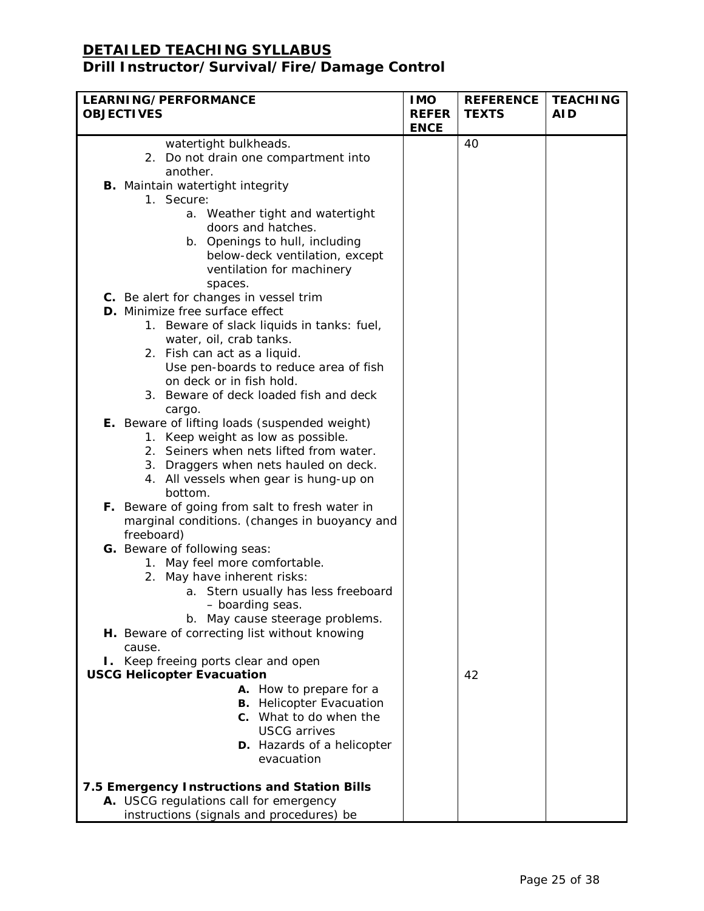| LEARNING/PERFORMANCE                                                                   | <b>IMO</b>                  | <b>REFERENCE</b> | <b>TEACHING</b> |
|----------------------------------------------------------------------------------------|-----------------------------|------------------|-----------------|
| <b>OBJECTIVES</b>                                                                      | <b>REFER</b><br><b>ENCE</b> | <b>TEXTS</b>     | <b>AID</b>      |
| watertight bulkheads.                                                                  |                             | 40               |                 |
| 2. Do not drain one compartment into<br>another.                                       |                             |                  |                 |
| <b>B.</b> Maintain watertight integrity                                                |                             |                  |                 |
| 1. Secure:                                                                             |                             |                  |                 |
| a. Weather tight and watertight                                                        |                             |                  |                 |
| doors and hatches.<br>b. Openings to hull, including                                   |                             |                  |                 |
| below-deck ventilation, except                                                         |                             |                  |                 |
| ventilation for machinery                                                              |                             |                  |                 |
| spaces.                                                                                |                             |                  |                 |
| C. Be alert for changes in vessel trim                                                 |                             |                  |                 |
| <b>D.</b> Minimize free surface effect<br>1. Beware of slack liquids in tanks: fuel,   |                             |                  |                 |
| water, oil, crab tanks.                                                                |                             |                  |                 |
| 2. Fish can act as a liquid.                                                           |                             |                  |                 |
| Use pen-boards to reduce area of fish                                                  |                             |                  |                 |
| on deck or in fish hold.                                                               |                             |                  |                 |
| 3. Beware of deck loaded fish and deck<br>cargo.                                       |                             |                  |                 |
| E. Beware of lifting loads (suspended weight)                                          |                             |                  |                 |
| 1. Keep weight as low as possible.                                                     |                             |                  |                 |
| 2. Seiners when nets lifted from water.                                                |                             |                  |                 |
| 3. Draggers when nets hauled on deck.                                                  |                             |                  |                 |
| 4. All vessels when gear is hung-up on<br>bottom.                                      |                             |                  |                 |
| F. Beware of going from salt to fresh water in                                         |                             |                  |                 |
| marginal conditions. (changes in buoyancy and                                          |                             |                  |                 |
| freeboard)                                                                             |                             |                  |                 |
| G. Beware of following seas:                                                           |                             |                  |                 |
| 1. May feel more comfortable.<br>2. May have inherent risks:                           |                             |                  |                 |
| a. Stern usually has less freeboard                                                    |                             |                  |                 |
| - boarding seas.                                                                       |                             |                  |                 |
| b. May cause steerage problems.                                                        |                             |                  |                 |
| H. Beware of correcting list without knowing<br>cause.                                 |                             |                  |                 |
| I. Keep freeing ports clear and open                                                   |                             |                  |                 |
| <b>USCG Helicopter Evacuation</b>                                                      |                             | 42               |                 |
| A. How to prepare for a                                                                |                             |                  |                 |
| <b>B.</b> Helicopter Evacuation                                                        |                             |                  |                 |
| <b>c.</b> What to do when the<br><b>USCG</b> arrives                                   |                             |                  |                 |
| D. Hazards of a helicopter                                                             |                             |                  |                 |
| evacuation                                                                             |                             |                  |                 |
|                                                                                        |                             |                  |                 |
| 7.5 Emergency Instructions and Station Bills<br>A. USCG regulations call for emergency |                             |                  |                 |
| instructions (signals and procedures) be                                               |                             |                  |                 |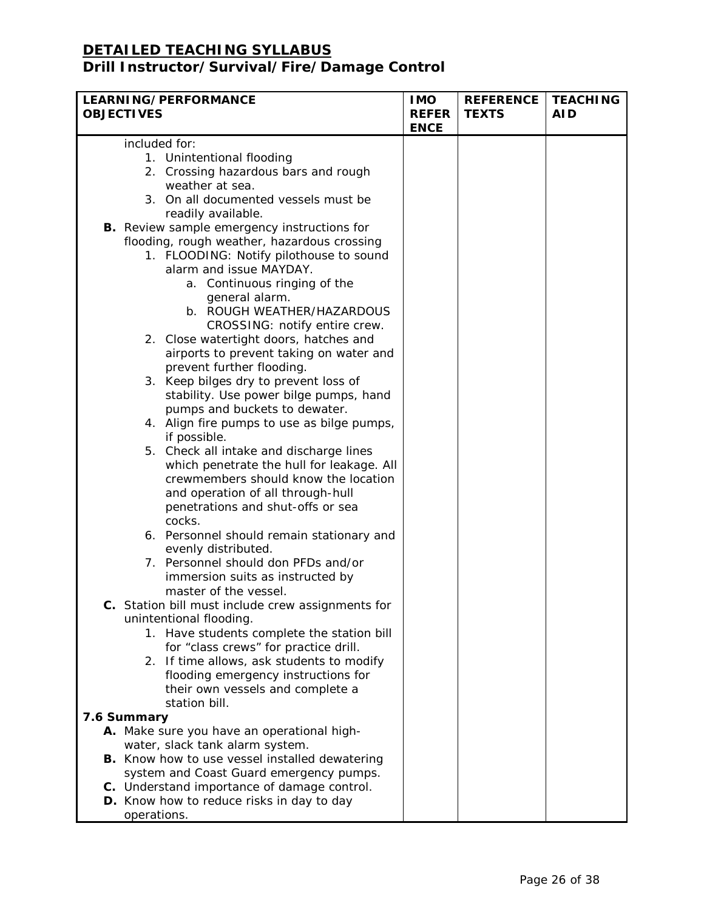| LEARNING/PERFORMANCE |                                                       | <b>IMO</b>                  | <b>REFERENCE</b> | <b>TEACHING</b> |
|----------------------|-------------------------------------------------------|-----------------------------|------------------|-----------------|
|                      | <b>OBJECTIVES</b>                                     | <b>REFER</b><br><b>ENCE</b> | <b>TEXTS</b>     | <b>AID</b>      |
|                      | included for:                                         |                             |                  |                 |
|                      | 1. Unintentional flooding                             |                             |                  |                 |
|                      | 2. Crossing hazardous bars and rough                  |                             |                  |                 |
|                      | weather at sea.                                       |                             |                  |                 |
|                      | 3. On all documented vessels must be                  |                             |                  |                 |
|                      | readily available.                                    |                             |                  |                 |
|                      | B. Review sample emergency instructions for           |                             |                  |                 |
|                      | flooding, rough weather, hazardous crossing           |                             |                  |                 |
|                      | 1. FLOODING: Notify pilothouse to sound               |                             |                  |                 |
|                      | alarm and issue MAYDAY.                               |                             |                  |                 |
|                      |                                                       |                             |                  |                 |
|                      | a. Continuous ringing of the                          |                             |                  |                 |
|                      | general alarm.                                        |                             |                  |                 |
|                      | b. ROUGH WEATHER/HAZARDOUS                            |                             |                  |                 |
|                      | CROSSING: notify entire crew.                         |                             |                  |                 |
|                      | 2. Close watertight doors, hatches and                |                             |                  |                 |
|                      | airports to prevent taking on water and               |                             |                  |                 |
|                      | prevent further flooding.                             |                             |                  |                 |
|                      | 3. Keep bilges dry to prevent loss of                 |                             |                  |                 |
|                      | stability. Use power bilge pumps, hand                |                             |                  |                 |
|                      | pumps and buckets to dewater.                         |                             |                  |                 |
|                      | 4. Align fire pumps to use as bilge pumps,            |                             |                  |                 |
|                      | if possible.                                          |                             |                  |                 |
|                      | 5. Check all intake and discharge lines               |                             |                  |                 |
|                      | which penetrate the hull for leakage. All             |                             |                  |                 |
|                      | crewmembers should know the location                  |                             |                  |                 |
|                      | and operation of all through-hull                     |                             |                  |                 |
|                      | penetrations and shut-offs or sea                     |                             |                  |                 |
|                      | cocks.                                                |                             |                  |                 |
|                      | 6. Personnel should remain stationary and             |                             |                  |                 |
|                      | evenly distributed.                                   |                             |                  |                 |
|                      | 7. Personnel should don PFDs and/or                   |                             |                  |                 |
|                      | immersion suits as instructed by                      |                             |                  |                 |
|                      | master of the vessel.                                 |                             |                  |                 |
| С.                   | Station bill must include crew assignments for        |                             |                  |                 |
|                      | unintentional flooding.                               |                             |                  |                 |
|                      | 1. Have students complete the station bill            |                             |                  |                 |
|                      | for "class crews" for practice drill.                 |                             |                  |                 |
|                      | 2. If time allows, ask students to modify             |                             |                  |                 |
|                      | flooding emergency instructions for                   |                             |                  |                 |
|                      | their own vessels and complete a                      |                             |                  |                 |
|                      | station bill.                                         |                             |                  |                 |
|                      | 7.6 Summary                                           |                             |                  |                 |
|                      | A. Make sure you have an operational high-            |                             |                  |                 |
|                      | water, slack tank alarm system.                       |                             |                  |                 |
|                      | <b>B.</b> Know how to use vessel installed dewatering |                             |                  |                 |
|                      | system and Coast Guard emergency pumps.               |                             |                  |                 |
|                      | C. Understand importance of damage control.           |                             |                  |                 |
|                      | D. Know how to reduce risks in day to day             |                             |                  |                 |
|                      | operations.                                           |                             |                  |                 |
|                      |                                                       |                             |                  |                 |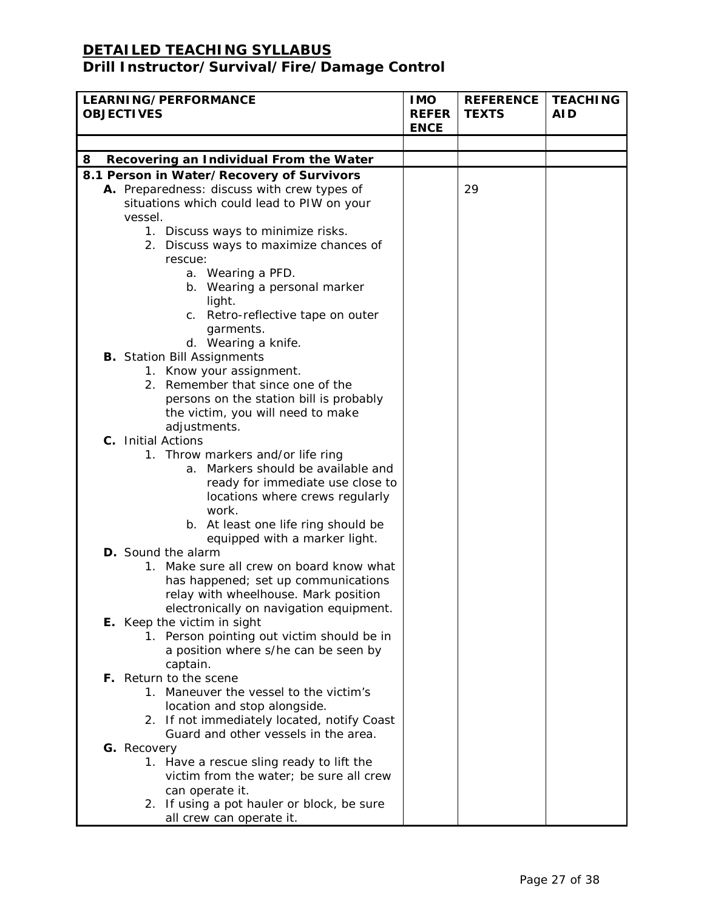| LEARNING/PERFORMANCE<br><b>OBJECTIVES</b>                                           | <b>IMO</b><br><b>REFER</b> | <b>REFERENCE</b><br><b>TEXTS</b> | <b>TEACHING</b><br><b>AID</b> |
|-------------------------------------------------------------------------------------|----------------------------|----------------------------------|-------------------------------|
|                                                                                     | <b>ENCE</b>                |                                  |                               |
|                                                                                     |                            |                                  |                               |
| Recovering an Individual From the Water<br>8                                        |                            |                                  |                               |
| 8.1 Person in Water/Recovery of Survivors                                           |                            |                                  |                               |
| A. Preparedness: discuss with crew types of                                         |                            | 29                               |                               |
| situations which could lead to PIW on your                                          |                            |                                  |                               |
| vessel.                                                                             |                            |                                  |                               |
| 1. Discuss ways to minimize risks.                                                  |                            |                                  |                               |
| 2. Discuss ways to maximize chances of                                              |                            |                                  |                               |
| rescue:<br>a. Wearing a PFD.                                                        |                            |                                  |                               |
| b. Wearing a personal marker                                                        |                            |                                  |                               |
| light.                                                                              |                            |                                  |                               |
| c. Retro-reflective tape on outer                                                   |                            |                                  |                               |
| garments.                                                                           |                            |                                  |                               |
| d. Wearing a knife.                                                                 |                            |                                  |                               |
| <b>B.</b> Station Bill Assignments                                                  |                            |                                  |                               |
| 1. Know your assignment.                                                            |                            |                                  |                               |
| 2. Remember that since one of the                                                   |                            |                                  |                               |
| persons on the station bill is probably                                             |                            |                                  |                               |
| the victim, you will need to make                                                   |                            |                                  |                               |
| adjustments.                                                                        |                            |                                  |                               |
| C. Initial Actions<br>1. Throw markers and/or life ring                             |                            |                                  |                               |
| a. Markers should be available and                                                  |                            |                                  |                               |
| ready for immediate use close to                                                    |                            |                                  |                               |
| locations where crews regularly                                                     |                            |                                  |                               |
| work.                                                                               |                            |                                  |                               |
| b. At least one life ring should be                                                 |                            |                                  |                               |
| equipped with a marker light.                                                       |                            |                                  |                               |
| <b>D.</b> Sound the alarm                                                           |                            |                                  |                               |
| 1. Make sure all crew on board know what                                            |                            |                                  |                               |
| has happened; set up communications                                                 |                            |                                  |                               |
| relay with wheelhouse. Mark position<br>electronically on navigation equipment.     |                            |                                  |                               |
| E. Keep the victim in sight                                                         |                            |                                  |                               |
| 1. Person pointing out victim should be in                                          |                            |                                  |                               |
| a position where s/he can be seen by                                                |                            |                                  |                               |
| captain.                                                                            |                            |                                  |                               |
| <b>F.</b> Return to the scene                                                       |                            |                                  |                               |
| 1. Maneuver the vessel to the victim's                                              |                            |                                  |                               |
| location and stop alongside.                                                        |                            |                                  |                               |
| 2. If not immediately located, notify Coast                                         |                            |                                  |                               |
| Guard and other vessels in the area.                                                |                            |                                  |                               |
| G. Recovery                                                                         |                            |                                  |                               |
| 1. Have a rescue sling ready to lift the<br>victim from the water; be sure all crew |                            |                                  |                               |
| can operate it.                                                                     |                            |                                  |                               |
| 2. If using a pot hauler or block, be sure                                          |                            |                                  |                               |
| all crew can operate it.                                                            |                            |                                  |                               |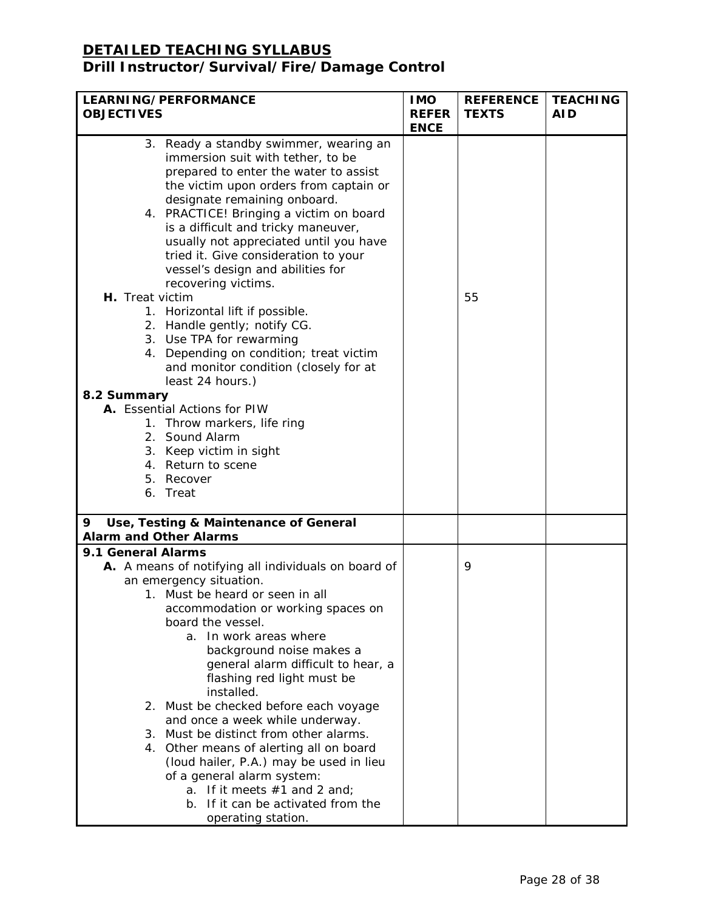| LEARNING/PERFORMANCE                                                                                                                                                                                                                                                                                                                                                                                                                                                                                                                                                                                                                                                                                                                                                                                                                |                             | <b>REFERENCE</b> | <b>TEACHING</b> |
|-------------------------------------------------------------------------------------------------------------------------------------------------------------------------------------------------------------------------------------------------------------------------------------------------------------------------------------------------------------------------------------------------------------------------------------------------------------------------------------------------------------------------------------------------------------------------------------------------------------------------------------------------------------------------------------------------------------------------------------------------------------------------------------------------------------------------------------|-----------------------------|------------------|-----------------|
| <b>OBJECTIVES</b>                                                                                                                                                                                                                                                                                                                                                                                                                                                                                                                                                                                                                                                                                                                                                                                                                   | <b>REFER</b><br><b>ENCE</b> | <b>TEXTS</b>     | <b>AID</b>      |
| 3. Ready a standby swimmer, wearing an<br>immersion suit with tether, to be<br>prepared to enter the water to assist<br>the victim upon orders from captain or<br>designate remaining onboard.<br>4. PRACTICE! Bringing a victim on board<br>is a difficult and tricky maneuver,<br>usually not appreciated until you have<br>tried it. Give consideration to your<br>vessel's design and abilities for<br>recovering victims.<br>H. Treat victim<br>1. Horizontal lift if possible.<br>2. Handle gently; notify CG.<br>3. Use TPA for rewarming<br>4. Depending on condition; treat victim<br>and monitor condition (closely for at<br>least 24 hours.)<br>8.2 Summary<br>A. Essential Actions for PIW<br>1. Throw markers, life ring<br>2. Sound Alarm<br>3. Keep victim in sight<br>4. Return to scene<br>5. Recover<br>6. Treat |                             | 55               |                 |
| 9<br>Use, Testing & Maintenance of General                                                                                                                                                                                                                                                                                                                                                                                                                                                                                                                                                                                                                                                                                                                                                                                          |                             |                  |                 |
| <b>Alarm and Other Alarms</b>                                                                                                                                                                                                                                                                                                                                                                                                                                                                                                                                                                                                                                                                                                                                                                                                       |                             |                  |                 |
| 9.1 General Alarms<br>A. A means of notifying all individuals on board of<br>an emergency situation.<br>1. Must be heard or seen in all<br>accommodation or working spaces on<br>board the vessel.<br>a. In work areas where<br>background noise makes a<br>general alarm difficult to hear, a<br>flashing red light must be<br>installed.<br>2. Must be checked before each voyage<br>and once a week while underway.<br>3. Must be distinct from other alarms.<br>4. Other means of alerting all on board<br>(loud hailer, P.A.) may be used in lieu<br>of a general alarm system:<br>a. If it meets $#1$ and 2 and;<br>b. If it can be activated from the<br>operating station.                                                                                                                                                  |                             | 9                |                 |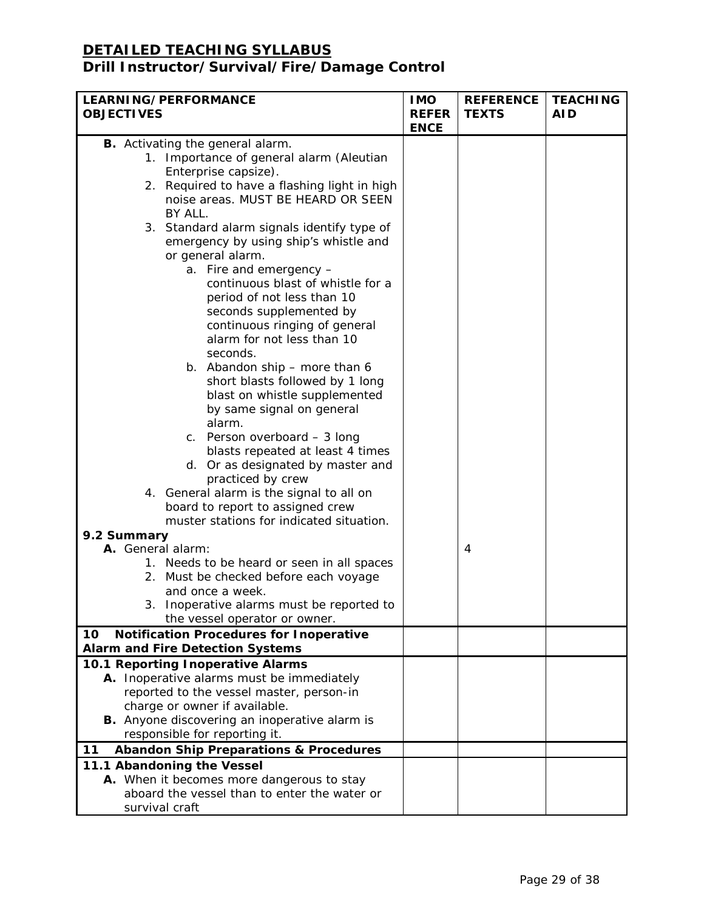| <b>IMO</b>  | <b>REFERENCE</b>                                             | <b>TEACHING</b><br><b>AID</b> |
|-------------|--------------------------------------------------------------|-------------------------------|
|             |                                                              |                               |
| <b>ENCE</b> |                                                              |                               |
|             |                                                              |                               |
|             |                                                              |                               |
|             | 4                                                            |                               |
|             |                                                              |                               |
|             |                                                              |                               |
|             |                                                              |                               |
|             |                                                              |                               |
|             |                                                              |                               |
|             |                                                              |                               |
|             |                                                              |                               |
|             |                                                              |                               |
|             |                                                              |                               |
|             |                                                              |                               |
|             |                                                              |                               |
|             | <b>REFER</b><br>2. Required to have a flashing light in high | <b>TEXTS</b>                  |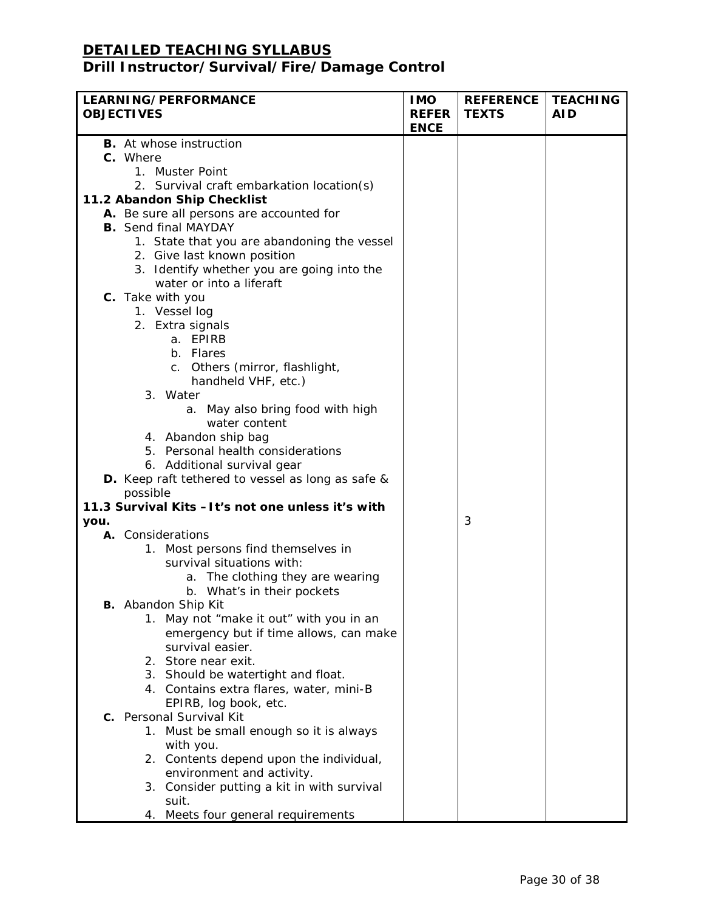| LEARNING/PERFORMANCE                                                      | <b>IMO</b>                  | <b>REFERENCE</b> | <b>TEACHING</b> |
|---------------------------------------------------------------------------|-----------------------------|------------------|-----------------|
| <b>OBJECTIVES</b>                                                         | <b>REFER</b><br><b>ENCE</b> | <b>TEXTS</b>     | <b>AID</b>      |
| <b>B.</b> At whose instruction                                            |                             |                  |                 |
| C. Where                                                                  |                             |                  |                 |
| 1. Muster Point                                                           |                             |                  |                 |
| 2. Survival craft embarkation location(s)                                 |                             |                  |                 |
| 11.2 Abandon Ship Checklist                                               |                             |                  |                 |
| A. Be sure all persons are accounted for                                  |                             |                  |                 |
| <b>B.</b> Send final MAYDAY                                               |                             |                  |                 |
| 1. State that you are abandoning the vessel                               |                             |                  |                 |
| 2. Give last known position<br>3. Identify whether you are going into the |                             |                  |                 |
| water or into a liferaft                                                  |                             |                  |                 |
| C. Take with you                                                          |                             |                  |                 |
| 1. Vessel log                                                             |                             |                  |                 |
| 2. Extra signals                                                          |                             |                  |                 |
| a. EPIRB                                                                  |                             |                  |                 |
| b. Flares                                                                 |                             |                  |                 |
| c. Others (mirror, flashlight,                                            |                             |                  |                 |
| handheld VHF, etc.)                                                       |                             |                  |                 |
| 3. Water                                                                  |                             |                  |                 |
| a. May also bring food with high                                          |                             |                  |                 |
| water content                                                             |                             |                  |                 |
| 4. Abandon ship bag                                                       |                             |                  |                 |
| 5. Personal health considerations                                         |                             |                  |                 |
| 6. Additional survival gear                                               |                             |                  |                 |
| <b>D.</b> Keep raft tethered to vessel as long as safe &<br>possible      |                             |                  |                 |
| 11.3 Survival Kits - It's not one unless it's with                        |                             |                  |                 |
| you.                                                                      |                             | 3                |                 |
| A. Considerations                                                         |                             |                  |                 |
| 1. Most persons find themselves in                                        |                             |                  |                 |
| survival situations with:                                                 |                             |                  |                 |
| a. The clothing they are wearing                                          |                             |                  |                 |
| b. What's in their pockets                                                |                             |                  |                 |
| <b>B.</b> Abandon Ship Kit                                                |                             |                  |                 |
| 1. May not "make it out" with you in an                                   |                             |                  |                 |
| emergency but if time allows, can make                                    |                             |                  |                 |
| survival easier.                                                          |                             |                  |                 |
| 2. Store near exit.                                                       |                             |                  |                 |
| 3. Should be watertight and float.                                        |                             |                  |                 |
| 4. Contains extra flares, water, mini-B                                   |                             |                  |                 |
| EPIRB, log book, etc.                                                     |                             |                  |                 |
| C. Personal Survival Kit                                                  |                             |                  |                 |
| 1. Must be small enough so it is always                                   |                             |                  |                 |
| with you.                                                                 |                             |                  |                 |
| 2. Contents depend upon the individual,                                   |                             |                  |                 |
| environment and activity.                                                 |                             |                  |                 |
| 3. Consider putting a kit in with survival                                |                             |                  |                 |
| suit.                                                                     |                             |                  |                 |
| Meets four general requirements<br>4.                                     |                             |                  |                 |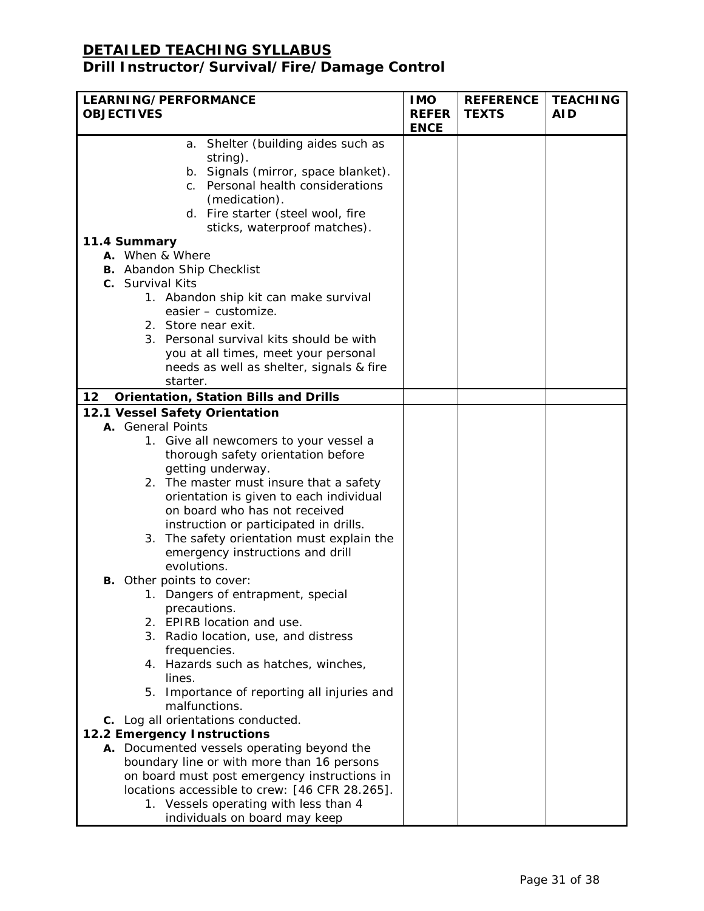| <b>LEARNING/PERFORMANCE</b><br><b>OBJECTIVES</b>                                                                                                                                                                 | <b>IMO</b><br><b>REFER</b> | <b>REFERENCE</b><br><b>TEXTS</b> | <b>TEACHING</b><br><b>AID</b> |
|------------------------------------------------------------------------------------------------------------------------------------------------------------------------------------------------------------------|----------------------------|----------------------------------|-------------------------------|
|                                                                                                                                                                                                                  | <b>ENCE</b>                |                                  |                               |
| a. Shelter (building aides such as<br>string).<br>b. Signals (mirror, space blanket).<br>c. Personal health considerations<br>(medication).<br>d. Fire starter (steel wool, fire<br>sticks, waterproof matches). |                            |                                  |                               |
| 11.4 Summary                                                                                                                                                                                                     |                            |                                  |                               |
| A. When & Where                                                                                                                                                                                                  |                            |                                  |                               |
| <b>B.</b> Abandon Ship Checklist                                                                                                                                                                                 |                            |                                  |                               |
| <b>C.</b> Survival Kits                                                                                                                                                                                          |                            |                                  |                               |
| 1. Abandon ship kit can make survival                                                                                                                                                                            |                            |                                  |                               |
| easier - customize.                                                                                                                                                                                              |                            |                                  |                               |
| 2. Store near exit.                                                                                                                                                                                              |                            |                                  |                               |
| 3. Personal survival kits should be with                                                                                                                                                                         |                            |                                  |                               |
| you at all times, meet your personal                                                                                                                                                                             |                            |                                  |                               |
| needs as well as shelter, signals & fire<br>starter.                                                                                                                                                             |                            |                                  |                               |
| 12<br><b>Orientation, Station Bills and Drills</b>                                                                                                                                                               |                            |                                  |                               |
| 12.1 Vessel Safety Orientation                                                                                                                                                                                   |                            |                                  |                               |
| A. General Points                                                                                                                                                                                                |                            |                                  |                               |
| 1. Give all newcomers to your vessel a                                                                                                                                                                           |                            |                                  |                               |
| thorough safety orientation before                                                                                                                                                                               |                            |                                  |                               |
| getting underway.                                                                                                                                                                                                |                            |                                  |                               |
| 2. The master must insure that a safety                                                                                                                                                                          |                            |                                  |                               |
| orientation is given to each individual                                                                                                                                                                          |                            |                                  |                               |
| on board who has not received                                                                                                                                                                                    |                            |                                  |                               |
| instruction or participated in drills.                                                                                                                                                                           |                            |                                  |                               |
| 3. The safety orientation must explain the<br>emergency instructions and drill                                                                                                                                   |                            |                                  |                               |
| evolutions.                                                                                                                                                                                                      |                            |                                  |                               |
| <b>B.</b> Other points to cover:                                                                                                                                                                                 |                            |                                  |                               |
| 1. Dangers of entrapment, special                                                                                                                                                                                |                            |                                  |                               |
| precautions.                                                                                                                                                                                                     |                            |                                  |                               |
| 2. EPIRB location and use.                                                                                                                                                                                       |                            |                                  |                               |
| 3. Radio location, use, and distress                                                                                                                                                                             |                            |                                  |                               |
| frequencies.                                                                                                                                                                                                     |                            |                                  |                               |
| 4. Hazards such as hatches, winches,                                                                                                                                                                             |                            |                                  |                               |
| lines.                                                                                                                                                                                                           |                            |                                  |                               |
| 5. Importance of reporting all injuries and                                                                                                                                                                      |                            |                                  |                               |
| malfunctions.<br>C. Log all orientations conducted.                                                                                                                                                              |                            |                                  |                               |
| 12.2 Emergency Instructions                                                                                                                                                                                      |                            |                                  |                               |
| A. Documented vessels operating beyond the                                                                                                                                                                       |                            |                                  |                               |
| boundary line or with more than 16 persons                                                                                                                                                                       |                            |                                  |                               |
| on board must post emergency instructions in                                                                                                                                                                     |                            |                                  |                               |
| locations accessible to crew: [46 CFR 28.265].                                                                                                                                                                   |                            |                                  |                               |
| 1. Vessels operating with less than 4                                                                                                                                                                            |                            |                                  |                               |
| individuals on board may keep                                                                                                                                                                                    |                            |                                  |                               |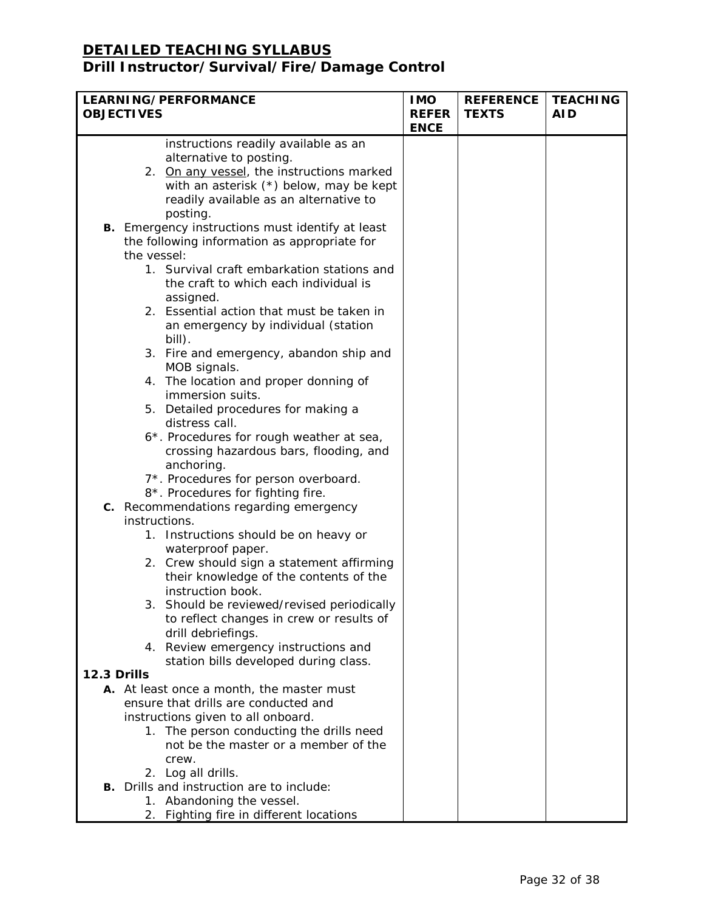| LEARNING/PERFORMANCE |                   |                                                                                  | <b>IMO</b>                  | <b>REFERENCE</b> | <b>TEACHING</b> |
|----------------------|-------------------|----------------------------------------------------------------------------------|-----------------------------|------------------|-----------------|
|                      | <b>OBJECTIVES</b> |                                                                                  | <b>REFER</b><br><b>ENCE</b> | <b>TEXTS</b>     | <b>AID</b>      |
|                      |                   | instructions readily available as an                                             |                             |                  |                 |
|                      |                   | alternative to posting.                                                          |                             |                  |                 |
|                      |                   | 2. On any vessel, the instructions marked                                        |                             |                  |                 |
|                      |                   | with an asterisk (*) below, may be kept                                          |                             |                  |                 |
|                      |                   | readily available as an alternative to                                           |                             |                  |                 |
|                      |                   | posting.                                                                         |                             |                  |                 |
|                      |                   | B. Emergency instructions must identify at least                                 |                             |                  |                 |
|                      | the vessel:       | the following information as appropriate for                                     |                             |                  |                 |
|                      |                   | 1. Survival craft embarkation stations and                                       |                             |                  |                 |
|                      |                   | the craft to which each individual is                                            |                             |                  |                 |
|                      |                   | assigned.                                                                        |                             |                  |                 |
|                      |                   | 2. Essential action that must be taken in                                        |                             |                  |                 |
|                      |                   | an emergency by individual (station                                              |                             |                  |                 |
|                      |                   | bill).                                                                           |                             |                  |                 |
|                      |                   | 3. Fire and emergency, abandon ship and                                          |                             |                  |                 |
|                      |                   | MOB signals.                                                                     |                             |                  |                 |
|                      |                   | 4. The location and proper donning of                                            |                             |                  |                 |
|                      |                   | immersion suits.                                                                 |                             |                  |                 |
|                      |                   | 5. Detailed procedures for making a<br>distress call.                            |                             |                  |                 |
|                      |                   | 6*. Procedures for rough weather at sea,                                         |                             |                  |                 |
|                      |                   | crossing hazardous bars, flooding, and                                           |                             |                  |                 |
|                      |                   | anchoring.                                                                       |                             |                  |                 |
|                      |                   | 7*. Procedures for person overboard.                                             |                             |                  |                 |
|                      |                   | 8 <sup>*</sup> . Procedures for fighting fire.                                   |                             |                  |                 |
|                      |                   | C. Recommendations regarding emergency                                           |                             |                  |                 |
|                      | instructions.     |                                                                                  |                             |                  |                 |
|                      |                   | 1. Instructions should be on heavy or                                            |                             |                  |                 |
|                      |                   | waterproof paper.                                                                |                             |                  |                 |
|                      |                   | 2. Crew should sign a statement affirming                                        |                             |                  |                 |
|                      |                   | their knowledge of the contents of the<br>instruction book.                      |                             |                  |                 |
|                      |                   | Should be reviewed/revised periodically                                          |                             |                  |                 |
|                      |                   | to reflect changes in crew or results of                                         |                             |                  |                 |
|                      |                   | drill debriefings.                                                               |                             |                  |                 |
|                      |                   | 4. Review emergency instructions and                                             |                             |                  |                 |
|                      |                   | station bills developed during class.                                            |                             |                  |                 |
| 12.3 Drills          |                   |                                                                                  |                             |                  |                 |
|                      |                   | A. At least once a month, the master must                                        |                             |                  |                 |
|                      |                   | ensure that drills are conducted and                                             |                             |                  |                 |
|                      |                   | instructions given to all onboard.                                               |                             |                  |                 |
|                      |                   | 1. The person conducting the drills need<br>not be the master or a member of the |                             |                  |                 |
|                      |                   | crew.                                                                            |                             |                  |                 |
|                      |                   | 2. Log all drills.                                                               |                             |                  |                 |
|                      |                   | <b>B.</b> Drills and instruction are to include:                                 |                             |                  |                 |
|                      |                   | 1. Abandoning the vessel.                                                        |                             |                  |                 |
|                      |                   | 2. Fighting fire in different locations                                          |                             |                  |                 |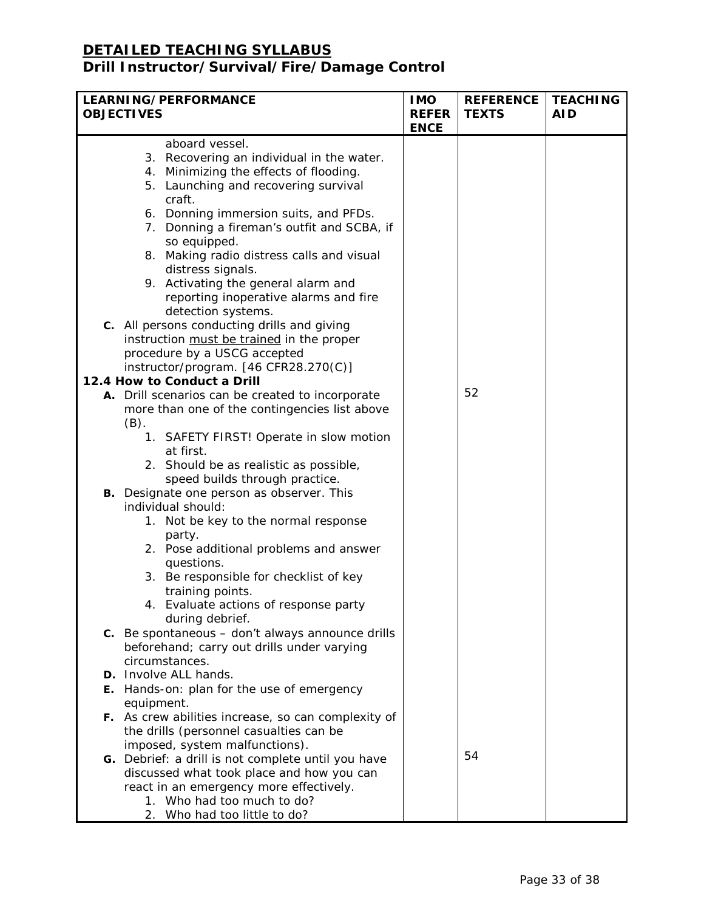| LEARNING/PERFORMANCE<br><b>OBJECTIVES</b> |            | <b>IMO</b>                                              | <b>REFERENCE</b>            | <b>TEACHING</b> |            |
|-------------------------------------------|------------|---------------------------------------------------------|-----------------------------|-----------------|------------|
|                                           |            |                                                         | <b>REFER</b><br><b>ENCE</b> | <b>TEXTS</b>    | <b>AID</b> |
|                                           |            | aboard vessel.                                          |                             |                 |            |
|                                           |            | 3. Recovering an individual in the water.               |                             |                 |            |
|                                           |            | 4. Minimizing the effects of flooding.                  |                             |                 |            |
|                                           |            | 5. Launching and recovering survival                    |                             |                 |            |
|                                           |            | craft.                                                  |                             |                 |            |
|                                           |            | 6. Donning immersion suits, and PFDs.                   |                             |                 |            |
|                                           |            | 7. Donning a fireman's outfit and SCBA, if              |                             |                 |            |
|                                           |            | so equipped.                                            |                             |                 |            |
|                                           |            | 8. Making radio distress calls and visual               |                             |                 |            |
|                                           |            | distress signals.                                       |                             |                 |            |
|                                           |            | 9. Activating the general alarm and                     |                             |                 |            |
|                                           |            | reporting inoperative alarms and fire                   |                             |                 |            |
|                                           |            | detection systems.                                      |                             |                 |            |
|                                           |            | c. All persons conducting drills and giving             |                             |                 |            |
|                                           |            | instruction must be trained in the proper               |                             |                 |            |
|                                           |            | procedure by a USCG accepted                            |                             |                 |            |
|                                           |            | instructor/program. [46 CFR28.270(C)]                   |                             |                 |            |
|                                           |            | 12.4 How to Conduct a Drill                             |                             |                 |            |
|                                           |            | A. Drill scenarios can be created to incorporate        |                             | 52              |            |
|                                           |            | more than one of the contingencies list above           |                             |                 |            |
|                                           | $(B)$ .    |                                                         |                             |                 |            |
|                                           |            | 1. SAFETY FIRST! Operate in slow motion                 |                             |                 |            |
|                                           |            | at first.                                               |                             |                 |            |
|                                           |            | 2. Should be as realistic as possible,                  |                             |                 |            |
|                                           |            | speed builds through practice.                          |                             |                 |            |
|                                           |            | <b>B.</b> Designate one person as observer. This        |                             |                 |            |
|                                           |            | individual should:                                      |                             |                 |            |
|                                           |            | 1. Not be key to the normal response                    |                             |                 |            |
|                                           |            | party.                                                  |                             |                 |            |
|                                           |            | 2. Pose additional problems and answer                  |                             |                 |            |
|                                           |            | questions.                                              |                             |                 |            |
|                                           |            | 3. Be responsible for checklist of key                  |                             |                 |            |
|                                           |            | training points.                                        |                             |                 |            |
|                                           |            | 4. Evaluate actions of response party                   |                             |                 |            |
|                                           |            | during debrief.                                         |                             |                 |            |
|                                           |            | <b>C.</b> Be spontaneous – don't always announce drills |                             |                 |            |
|                                           |            | beforehand; carry out drills under varying              |                             |                 |            |
|                                           |            | circumstances.                                          |                             |                 |            |
|                                           |            | D. Involve ALL hands.                                   |                             |                 |            |
|                                           |            | E. Hands-on: plan for the use of emergency              |                             |                 |            |
|                                           | equipment. |                                                         |                             |                 |            |
|                                           |            | F. As crew abilities increase, so can complexity of     |                             |                 |            |
|                                           |            | the drills (personnel casualties can be                 |                             |                 |            |
|                                           |            | imposed, system malfunctions).                          |                             |                 |            |
|                                           |            | G. Debrief: a drill is not complete until you have      |                             | 54              |            |
|                                           |            | discussed what took place and how you can               |                             |                 |            |
|                                           |            | react in an emergency more effectively.                 |                             |                 |            |
|                                           |            | 1. Who had too much to do?                              |                             |                 |            |
|                                           |            | 2. Who had too little to do?                            |                             |                 |            |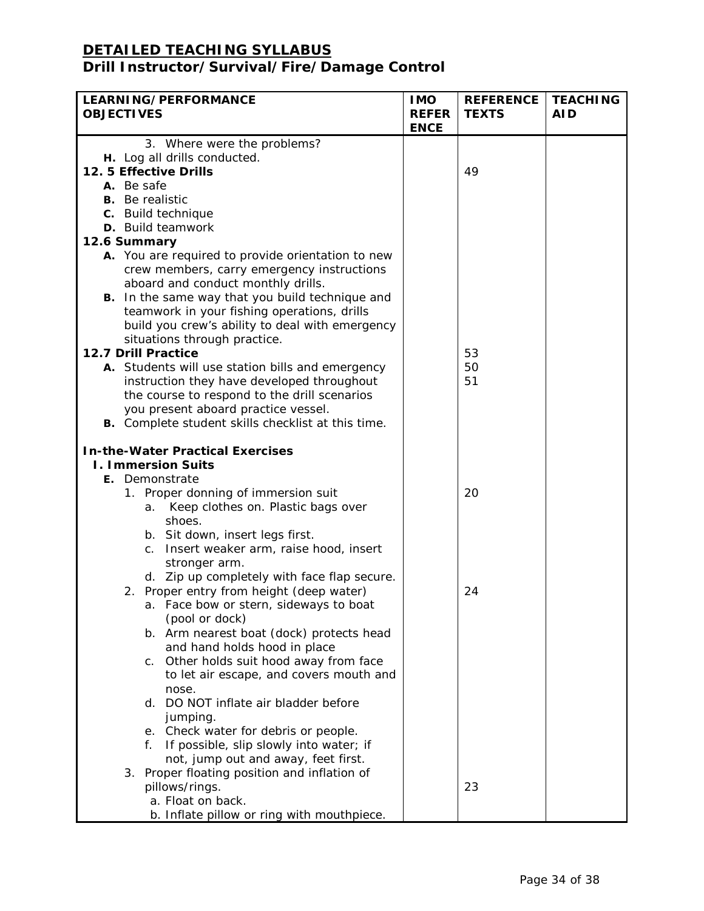| LEARNING/PERFORMANCE                                    | <b>IMO</b>                  | <b>REFERENCE</b> | <b>TEACHING</b> |
|---------------------------------------------------------|-----------------------------|------------------|-----------------|
| <b>OBJECTIVES</b>                                       | <b>REFER</b><br><b>ENCE</b> | <b>TEXTS</b>     | <b>AID</b>      |
| 3. Where were the problems?                             |                             |                  |                 |
| H. Log all drills conducted.                            |                             |                  |                 |
| 12. 5 Effective Drills                                  |                             | 49               |                 |
| A. Be safe                                              |                             |                  |                 |
| <b>B.</b> Be realistic                                  |                             |                  |                 |
| c. Build technique                                      |                             |                  |                 |
| D. Build teamwork                                       |                             |                  |                 |
| 12.6 Summary                                            |                             |                  |                 |
| A. You are required to provide orientation to new       |                             |                  |                 |
| crew members, carry emergency instructions              |                             |                  |                 |
| aboard and conduct monthly drills.                      |                             |                  |                 |
| B. In the same way that you build technique and         |                             |                  |                 |
| teamwork in your fishing operations, drills             |                             |                  |                 |
| build you crew's ability to deal with emergency         |                             |                  |                 |
| situations through practice.                            |                             |                  |                 |
| 12.7 Drill Practice                                     |                             | 53               |                 |
| A. Students will use station bills and emergency        |                             | 50               |                 |
| instruction they have developed throughout              |                             | 51               |                 |
| the course to respond to the drill scenarios            |                             |                  |                 |
| you present aboard practice vessel.                     |                             |                  |                 |
| B. Complete student skills checklist at this time.      |                             |                  |                 |
| <b>In-the-Water Practical Exercises</b>                 |                             |                  |                 |
| <b>I. Immersion Suits</b>                               |                             |                  |                 |
| E. Demonstrate                                          |                             |                  |                 |
| 1. Proper donning of immersion suit                     |                             | 20               |                 |
| Keep clothes on. Plastic bags over<br>а.                |                             |                  |                 |
| shoes.                                                  |                             |                  |                 |
| b. Sit down, insert legs first.                         |                             |                  |                 |
| Insert weaker arm, raise hood, insert<br>C <sub>1</sub> |                             |                  |                 |
| stronger arm.                                           |                             |                  |                 |
| d. Zip up completely with face flap secure.             |                             |                  |                 |
| 2. Proper entry from height (deep water)                |                             | 24               |                 |
| a. Face bow or stern, sideways to boat                  |                             |                  |                 |
| (pool or dock)                                          |                             |                  |                 |
| b. Arm nearest boat (dock) protects head                |                             |                  |                 |
| and hand holds hood in place                            |                             |                  |                 |
| c. Other holds suit hood away from face                 |                             |                  |                 |
| to let air escape, and covers mouth and                 |                             |                  |                 |
| nose.                                                   |                             |                  |                 |
| d. DO NOT inflate air bladder before                    |                             |                  |                 |
| jumping.                                                |                             |                  |                 |
| e. Check water for debris or people.                    |                             |                  |                 |
| If possible, slip slowly into water; if<br>f.           |                             |                  |                 |
| not, jump out and away, feet first.                     |                             |                  |                 |
| 3. Proper floating position and inflation of            |                             |                  |                 |
| pillows/rings.                                          |                             | 23               |                 |
| a. Float on back.                                       |                             |                  |                 |
| b. Inflate pillow or ring with mouthpiece.              |                             |                  |                 |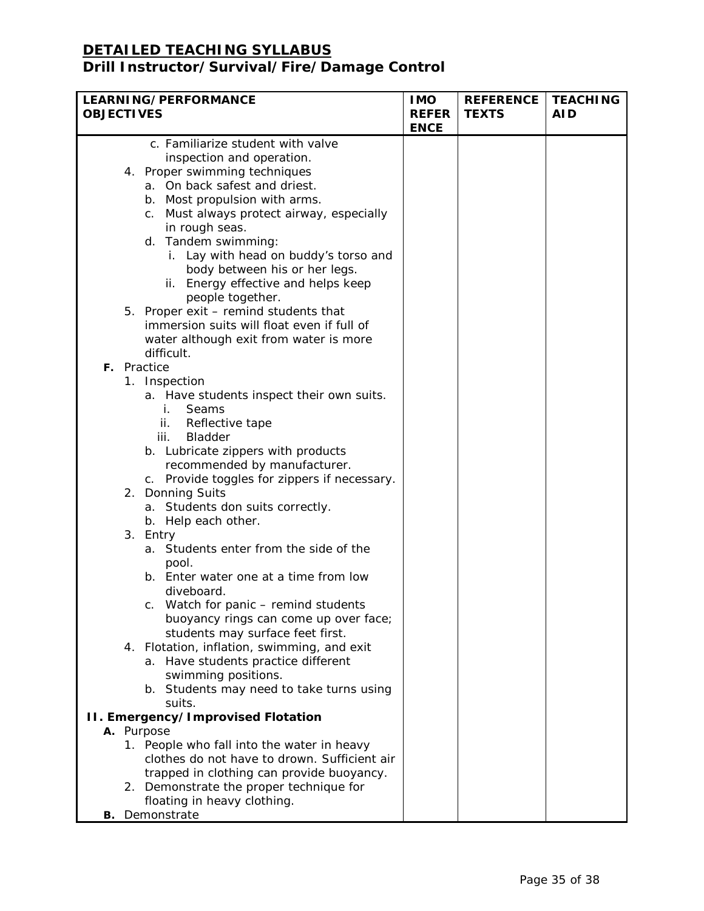| <b>LEARNING/PERFORMANCE</b> |                                                                    |                             | <b>REFERENCE</b> | <b>TEACHING</b> |
|-----------------------------|--------------------------------------------------------------------|-----------------------------|------------------|-----------------|
| <b>OBJECTIVES</b>           |                                                                    | <b>REFER</b><br><b>ENCE</b> | <b>TEXTS</b>     | AI D            |
|                             | c. Familiarize student with valve                                  |                             |                  |                 |
|                             | inspection and operation.                                          |                             |                  |                 |
|                             | 4. Proper swimming techniques                                      |                             |                  |                 |
|                             | a. On back safest and driest.                                      |                             |                  |                 |
|                             | b. Most propulsion with arms.                                      |                             |                  |                 |
|                             | c. Must always protect airway, especially                          |                             |                  |                 |
|                             | in rough seas.                                                     |                             |                  |                 |
|                             | d. Tandem swimming:                                                |                             |                  |                 |
|                             | i. Lay with head on buddy's torso and                              |                             |                  |                 |
|                             | body between his or her legs.                                      |                             |                  |                 |
|                             | ii. Energy effective and helps keep                                |                             |                  |                 |
|                             | people together.                                                   |                             |                  |                 |
|                             | 5. Proper exit - remind students that                              |                             |                  |                 |
|                             | immersion suits will float even if full of                         |                             |                  |                 |
|                             | water although exit from water is more                             |                             |                  |                 |
|                             | difficult.                                                         |                             |                  |                 |
|                             | F. Practice                                                        |                             |                  |                 |
|                             | 1. Inspection                                                      |                             |                  |                 |
|                             | a. Have students inspect their own suits.                          |                             |                  |                 |
|                             | Seams<br>İ.                                                        |                             |                  |                 |
|                             | Reflective tape<br>ii.<br>iii.<br><b>Bladder</b>                   |                             |                  |                 |
|                             |                                                                    |                             |                  |                 |
|                             | b. Lubricate zippers with products<br>recommended by manufacturer. |                             |                  |                 |
|                             | c. Provide toggles for zippers if necessary.                       |                             |                  |                 |
|                             | 2. Donning Suits                                                   |                             |                  |                 |
|                             | a. Students don suits correctly.                                   |                             |                  |                 |
|                             | b. Help each other.                                                |                             |                  |                 |
|                             | 3. Entry                                                           |                             |                  |                 |
|                             | a. Students enter from the side of the                             |                             |                  |                 |
|                             | pool.                                                              |                             |                  |                 |
|                             | b. Enter water one at a time from low                              |                             |                  |                 |
|                             | diveboard.                                                         |                             |                  |                 |
|                             | c. Watch for panic – remind students                               |                             |                  |                 |
|                             | buoyancy rings can come up over face;                              |                             |                  |                 |
|                             | students may surface feet first.                                   |                             |                  |                 |
|                             | 4. Flotation, inflation, swimming, and exit                        |                             |                  |                 |
|                             | a. Have students practice different                                |                             |                  |                 |
|                             | swimming positions.                                                |                             |                  |                 |
|                             | b. Students may need to take turns using                           |                             |                  |                 |
|                             | suits.                                                             |                             |                  |                 |
|                             | II. Emergency/Improvised Flotation                                 |                             |                  |                 |
|                             | A. Purpose                                                         |                             |                  |                 |
|                             | 1. People who fall into the water in heavy                         |                             |                  |                 |
|                             | clothes do not have to drown. Sufficient air                       |                             |                  |                 |
|                             | trapped in clothing can provide buoyancy.                          |                             |                  |                 |
|                             | 2. Demonstrate the proper technique for                            |                             |                  |                 |
|                             | floating in heavy clothing.<br><b>B.</b> Demonstrate               |                             |                  |                 |
|                             |                                                                    |                             |                  |                 |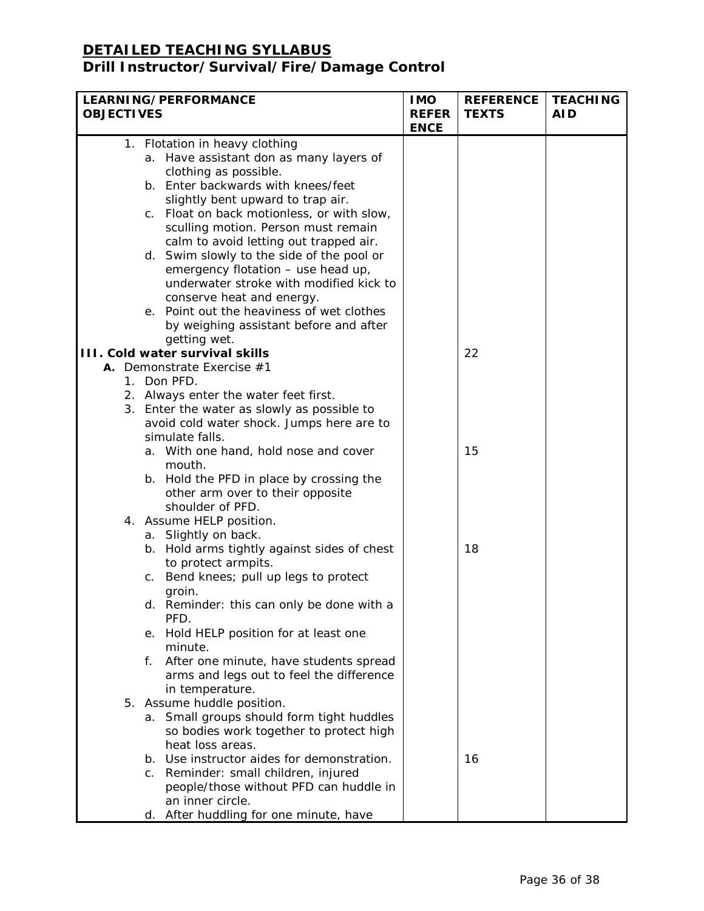| <b>OBJECTIVES</b> |    | LEARNING/PERFORMANCE                                                                 | <b>IMO</b><br><b>REFER</b> | <b>REFERENCE</b><br><b>TEXTS</b> | <b>TEACHING</b><br><b>AID</b> |
|-------------------|----|--------------------------------------------------------------------------------------|----------------------------|----------------------------------|-------------------------------|
|                   |    |                                                                                      | <b>ENCE</b>                |                                  |                               |
|                   |    | 1. Flotation in heavy clothing                                                       |                            |                                  |                               |
|                   |    | a. Have assistant don as many layers of                                              |                            |                                  |                               |
|                   |    | clothing as possible.                                                                |                            |                                  |                               |
|                   |    | b. Enter backwards with knees/feet                                                   |                            |                                  |                               |
|                   |    | slightly bent upward to trap air.                                                    |                            |                                  |                               |
|                   |    | c. Float on back motionless, or with slow,                                           |                            |                                  |                               |
|                   |    | sculling motion. Person must remain                                                  |                            |                                  |                               |
|                   |    | calm to avoid letting out trapped air.                                               |                            |                                  |                               |
|                   |    | d. Swim slowly to the side of the pool or                                            |                            |                                  |                               |
|                   |    | emergency flotation - use head up,                                                   |                            |                                  |                               |
|                   |    | underwater stroke with modified kick to                                              |                            |                                  |                               |
|                   |    | conserve heat and energy.                                                            |                            |                                  |                               |
|                   |    | e. Point out the heaviness of wet clothes                                            |                            |                                  |                               |
|                   |    | by weighing assistant before and after                                               |                            |                                  |                               |
|                   |    | getting wet.                                                                         |                            |                                  |                               |
|                   |    | <b>III. Cold water survival skills</b>                                               |                            | 22                               |                               |
|                   |    | A. Demonstrate Exercise #1                                                           |                            |                                  |                               |
|                   |    | 1. Don PFD.                                                                          |                            |                                  |                               |
|                   |    | 2. Always enter the water feet first.<br>3. Enter the water as slowly as possible to |                            |                                  |                               |
|                   |    | avoid cold water shock. Jumps here are to                                            |                            |                                  |                               |
|                   |    | simulate falls.                                                                      |                            |                                  |                               |
|                   |    | a. With one hand, hold nose and cover                                                |                            | 15                               |                               |
|                   |    | mouth.                                                                               |                            |                                  |                               |
|                   |    | b. Hold the PFD in place by crossing the                                             |                            |                                  |                               |
|                   |    | other arm over to their opposite                                                     |                            |                                  |                               |
|                   |    | shoulder of PFD.                                                                     |                            |                                  |                               |
|                   |    | 4. Assume HELP position.                                                             |                            |                                  |                               |
|                   |    | a. Slightly on back.                                                                 |                            |                                  |                               |
|                   |    | b. Hold arms tightly against sides of chest                                          |                            | 18                               |                               |
|                   |    | to protect armpits.                                                                  |                            |                                  |                               |
|                   |    | c. Bend knees; pull up legs to protect                                               |                            |                                  |                               |
|                   |    | groin.                                                                               |                            |                                  |                               |
|                   |    | d. Reminder: this can only be done with a                                            |                            |                                  |                               |
|                   |    | PFD.                                                                                 |                            |                                  |                               |
|                   |    | e. Hold HELP position for at least one                                               |                            |                                  |                               |
|                   |    | minute.                                                                              |                            |                                  |                               |
|                   | f. | After one minute, have students spread                                               |                            |                                  |                               |
|                   |    | arms and legs out to feel the difference                                             |                            |                                  |                               |
|                   |    | in temperature.<br>5. Assume huddle position.                                        |                            |                                  |                               |
|                   |    | a. Small groups should form tight huddles                                            |                            |                                  |                               |
|                   |    | so bodies work together to protect high                                              |                            |                                  |                               |
|                   |    | heat loss areas.                                                                     |                            |                                  |                               |
|                   |    | b. Use instructor aides for demonstration.                                           |                            | 16                               |                               |
|                   |    | c. Reminder: small children, injured                                                 |                            |                                  |                               |
|                   |    | people/those without PFD can huddle in                                               |                            |                                  |                               |
|                   |    | an inner circle.                                                                     |                            |                                  |                               |
|                   |    | d. After huddling for one minute, have                                               |                            |                                  |                               |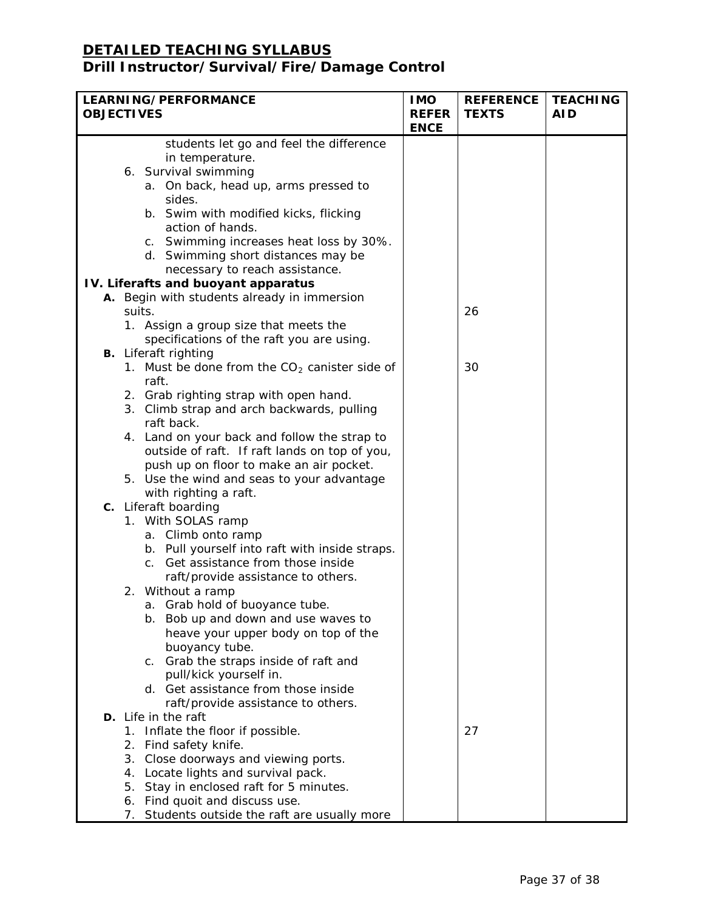| LEARNING/PERFORMANCE<br><b>OBJECTIVES</b>                                                | <b>IMO</b><br><b>REFER</b> | <b>REFERENCE</b><br><b>TEXTS</b> | <b>TEACHING</b><br><b>AID</b> |
|------------------------------------------------------------------------------------------|----------------------------|----------------------------------|-------------------------------|
|                                                                                          | <b>ENCE</b>                |                                  |                               |
| students let go and feel the difference                                                  |                            |                                  |                               |
| in temperature.                                                                          |                            |                                  |                               |
| 6. Survival swimming                                                                     |                            |                                  |                               |
| a. On back, head up, arms pressed to                                                     |                            |                                  |                               |
| sides.                                                                                   |                            |                                  |                               |
| b. Swim with modified kicks, flicking                                                    |                            |                                  |                               |
| action of hands.                                                                         |                            |                                  |                               |
| c. Swimming increases heat loss by 30%.<br>d. Swimming short distances may be            |                            |                                  |                               |
| necessary to reach assistance.                                                           |                            |                                  |                               |
| IV. Liferafts and buoyant apparatus                                                      |                            |                                  |                               |
| A. Begin with students already in immersion                                              |                            |                                  |                               |
| suits.                                                                                   |                            | 26                               |                               |
| 1. Assign a group size that meets the                                                    |                            |                                  |                               |
| specifications of the raft you are using.                                                |                            |                                  |                               |
| <b>B.</b> Liferaft righting                                                              |                            |                                  |                               |
| 1. Must be done from the $CO2$ canister side of                                          |                            | 30                               |                               |
| raft.                                                                                    |                            |                                  |                               |
| 2. Grab righting strap with open hand.                                                   |                            |                                  |                               |
| 3. Climb strap and arch backwards, pulling                                               |                            |                                  |                               |
| raft back.                                                                               |                            |                                  |                               |
| 4. Land on your back and follow the strap to                                             |                            |                                  |                               |
| outside of raft. If raft lands on top of you,<br>push up on floor to make an air pocket. |                            |                                  |                               |
| 5. Use the wind and seas to your advantage                                               |                            |                                  |                               |
| with righting a raft.                                                                    |                            |                                  |                               |
| c. Liferaft boarding                                                                     |                            |                                  |                               |
| 1. With SOLAS ramp                                                                       |                            |                                  |                               |
| a. Climb onto ramp                                                                       |                            |                                  |                               |
| b. Pull yourself into raft with inside straps.                                           |                            |                                  |                               |
| c. Get assistance from those inside                                                      |                            |                                  |                               |
| raft/provide assistance to others.                                                       |                            |                                  |                               |
| 2. Without a ramp                                                                        |                            |                                  |                               |
| a. Grab hold of buoyance tube.                                                           |                            |                                  |                               |
| b. Bob up and down and use waves to                                                      |                            |                                  |                               |
| heave your upper body on top of the                                                      |                            |                                  |                               |
| buoyancy tube.                                                                           |                            |                                  |                               |
| c. Grab the straps inside of raft and<br>pull/kick yourself in.                          |                            |                                  |                               |
| d. Get assistance from those inside                                                      |                            |                                  |                               |
| raft/provide assistance to others.                                                       |                            |                                  |                               |
| D. Life in the raft                                                                      |                            |                                  |                               |
| 1. Inflate the floor if possible.                                                        |                            | 27                               |                               |
| 2. Find safety knife.                                                                    |                            |                                  |                               |
| 3. Close doorways and viewing ports.                                                     |                            |                                  |                               |
| 4. Locate lights and survival pack.                                                      |                            |                                  |                               |
| 5. Stay in enclosed raft for 5 minutes.                                                  |                            |                                  |                               |
| 6. Find quoit and discuss use.                                                           |                            |                                  |                               |
| 7. Students outside the raft are usually more                                            |                            |                                  |                               |